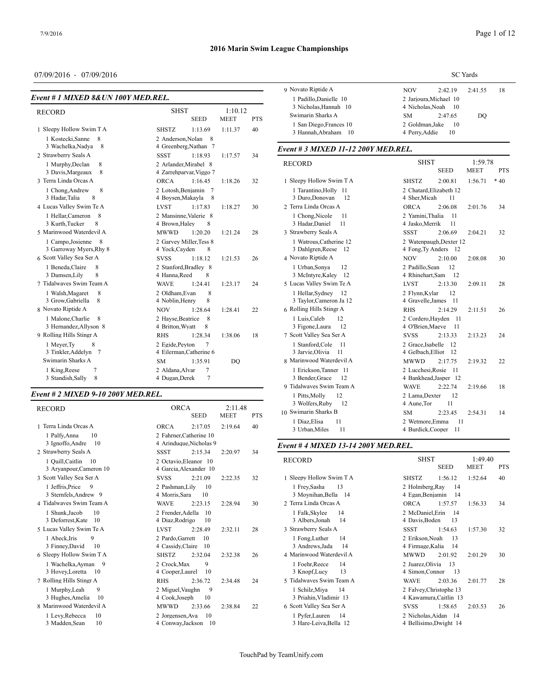# 07/09/2016 - 07/09/2016

| Event # 1 MIXED 8& UN 100Y MED, REL.              |                                                 |                        |            | 1 Padillo, Dani                   |
|---------------------------------------------------|-------------------------------------------------|------------------------|------------|-----------------------------------|
| <b>RECORD</b>                                     | <b>SHST</b><br><b>SEED</b>                      | 1:10.12<br><b>MEET</b> | <b>PTS</b> | 3 Nicholas, Ha<br>Swimarin Sharl  |
| 1 Sleepy Hollow Swim T A                          | <b>SHSTZ</b><br>1:13.69                         | 1:11.37                | 40         | 1 San Diego, F<br>3 Hannah, Abr   |
| 1 Kostecki, Sanne<br>8                            | 2 Anderson.Nolan                                | 8                      |            |                                   |
| 3 Wachelka, Nadya<br>8                            | 4 Greenberg, Nathan 7                           |                        |            | Event # 3 MIXI                    |
| 2 Strawberry Seals A                              | <b>SSST</b><br>1:18.93                          | 1:17.57                | 34         |                                   |
| 1 Murphy, Declan<br>8                             | 2 Arlander, Mirabel 8                           |                        |            | <b>RECORD</b>                     |
| 8<br>3 Davis, Margeaux                            | 4 Zarrehparvar, Viggo 7                         |                        |            |                                   |
| 3 Terra Linda Orcas A                             | <b>ORCA</b><br>1:16.45                          | 1:18.26                | 32         | 1 Sleepy Hollow                   |
| 8<br>1 Chong, Andrew<br>8<br>3 Hadar, Talia       | 2 Lotosh, Benjamin 7<br>4 Boysen, Makayla       | 8                      |            | 1 Tarantino, H<br>3 Duro, Donov   |
| 4 Lucas Valley Swim Te A                          | <b>LVST</b><br>1:17.83                          | 1:18.27                | 30         | 2 Terra Linda Oro                 |
| 8<br>1 Hellar, Cameron<br>8<br>3 Kurth, Tucker    | 2 Mansinne, Valerie 8<br>4 Brown, Haley<br>8    |                        |            | 1 Chong, Nico<br>3 Hadar, Danie   |
| 5 Marinwood Waterdevil A                          | <b>MWWD</b><br>1:20.20                          | 1:21.24                | 28         | 3 Strawberry Sea                  |
| 1 Campo, Josienne<br>8<br>3 Garroway Myers, Rhy 8 | 2 Garvey Miller, Tess 8<br>4 Yock, Cayden<br>8  |                        |            | 1 Watrous, Cat<br>3 Dahlgren, Re  |
| 6 Scott Valley Sea Ser A                          | <b>SVSS</b><br>1:18.12                          | 1:21.53                | 26         | 4 Novato Riptide                  |
| 1 Beneda, Claire<br>8<br>8<br>3 Damsen, Lily      | 2 Stanford.Bradlev 8<br>4 Hanna, Reed<br>8      |                        |            | 1 Urban, Sony<br>3 McIntyre, Ka   |
| 7 Tidalwayes Swim Team A                          | <b>WAVE</b><br>1:24.41                          | 1:23.17                | 24         | 5 Lucas Valley Sv                 |
| 1 Walsh, Magaret<br>8<br>8<br>3 Grow, Gabriella   | 2 Oldham, Evan<br>8<br>8<br>4 Noblin, Henry     |                        |            | 1 Hellar, Sydn<br>3 Taylor, Came  |
| 8 Novato Riptide A                                | <b>NOV</b><br>1:28.64                           | 1:28.41                | 22         | 6 Rolling Hills St                |
| 1 Malone.Charlie<br>8<br>3 Hernandez, Allyson 8   | 2 Hayse, Beatrice<br>8<br>4 Britton, Wyatt<br>8 |                        |            | 1 Luis.Caleb<br>3 Figone, Laur    |
| 9 Rolling Hills Stingr A                          | <b>RHS</b><br>1:28.34                           | 1:38.06                | 18         | 7 Scott Valley Se                 |
| 8<br>1 Meyer, Ty<br>3 Tinkler, Addelyn<br>7       | 2 Egide, Peyton<br>7<br>4 Eilerman, Catherine 6 |                        |            | 1 Stanford.Co<br>3 Jarvie, Olivia |
| Swimarin Sharks A                                 | <b>SM</b><br>1:35.91                            | DO                     |            | 8 Marinwood Wa                    |
| 1 King, Reese<br>$\overline{7}$                   | 2 Aldana.Alvar<br>7                             |                        |            | 1 Erickson.Ta                     |
| 3 Standish, Sally<br>8                            | 4 Dugan, Derek<br>$\overline{7}$                |                        |            | 3 Bender, Grac<br>9 Tidalwaves Sw |
| $\overline{a}$ , a letver a 10 gaavae             |                                                 |                        |            |                                   |

#### *Event # 2 MIXED 9-10 200Y MED.REL.*

| <b>RECORD</b>                                    | <b>ORCA</b>                           | <b>SEED</b> | 2:11.48<br><b>MEET</b> | <b>PTS</b> | 3 Wolfers, Rut<br>10 Swimarin Sharl |
|--------------------------------------------------|---------------------------------------|-------------|------------------------|------------|-------------------------------------|
| 1 Terra Linda Orcas A                            | <b>ORCA</b>                           | 2:17.05     | 2:19.64                | 40         | 1 Diaz, Elisa<br>3 Urban, Miles     |
| 10<br>1 Palfy, Anna                              | 2 Fahrner, Catherine 10               |             |                        |            |                                     |
| 3 Ignoffo, Andre<br>10                           | 4 Arinduque, Nicholas 9               |             |                        |            | Event #4 MIXI                       |
| 2 Strawberry Seals A                             | <b>SSST</b>                           | 2:15.34     | 2:20.97                | 34         |                                     |
| 1 Quill, Caitlin<br>10                           | 2 Octavio, Eleanor 10                 |             |                        |            | <b>RECORD</b>                       |
| 3 Aryanpour, Cameron 10                          | 4 Garcia, Alexander 10                |             |                        |            |                                     |
| 3 Scott Valley Sea Ser A                         | <b>SVSS</b>                           | 2:21.09     | 2:22.35                | 32         | 1 Sleepy Hollow                     |
| 1 Jeffris, Price<br>9<br>3 Sternfels, Andrew 9   | 2 Pashman, Lily<br>4 Morris, Sara     | 10<br>10    |                        |            | 1 Frey, Sasha<br>3 Moynihan, B      |
| 4 Tidalwayes Swim Team A                         | <b>WAVE</b>                           | 2:23.15     | 2:28.94                | 30         | 2 Terra Linda Oro                   |
| 1 Shunk, Jacob<br>10<br>3 Deforrest, Kate<br>10  | 2 Frender, Adella<br>4 Diaz, Rodrigo  | 10<br>10    |                        |            | 1 Falk, Skylee<br>3 Albers, Jonal   |
| 5 Lucas Valley Swim Te A                         | <b>LVST</b>                           | 2:28.49     | 2:32.11                | 28         | 3 Strawberry Sea                    |
| 1 Abeck, Iris<br>9<br>3 Finney, David<br>10      | 2 Pardo.Garrett<br>4 Cassidy, Claire  | 10<br>10    |                        |            | 1 Fong.Luther<br>3 Andrews, Jac     |
| 6 Sleepy Hollow Swim T A                         | <b>SHSTZ</b>                          | 2:32.04     | 2:32.38                | 26         | 4 Marinwood Wa                      |
| 1 Wachelka, Ayman<br>9<br>3 Hovey, Loretta<br>10 | 2 Crock.Max<br>4 Cooper, Laurel       | 9<br>10     |                        |            | 1 Foehr, Reece<br>3 Knopf, Lucy     |
| 7 Rolling Hills Stingr A                         | <b>RHS</b>                            | 2:36.72     | 2:34.48                | 24         | 5 Tidalwaves Sw                     |
| 9<br>1 Murphy, Leah<br>3 Hughes, Amelia<br>10    | 2 Miguel, Vaughn<br>4 Cook, Joseph    | 9<br>10     |                        |            | 1 Schilz, Miya<br>3 Priahin, Vlac   |
| 8 Marinwood Waterdevil A                         | <b>MWWD</b>                           | 2:33.66     | 2:38.84                | 22         | 6 Scott Valley Se                   |
| 1 Levy, Rebecca<br>10<br>3 Madden, Sean<br>10    | 2 Jorgensen, Ava<br>4 Conway, Jackson | 10<br>10    |                        |            | 1 Pyfer, Laurei<br>3 Hare-Leiva,    |

| Page 1 of 12 |
|--------------|
|--------------|

|                                                | <b>SC</b> Yards                  |                                              |         |    |  |  |
|------------------------------------------------|----------------------------------|----------------------------------------------|---------|----|--|--|
| 9 Novato Riptide A                             | NOV                              | 2:42.19                                      | 2:41.55 | 18 |  |  |
| 1 Padillo.Danielle 10<br>3 Nicholas.Hannah 10  |                                  | 2 Jarioura Michael 10<br>4 Nicholas. Noah 10 |         |    |  |  |
| Swimarin Sharks A                              | SM.                              | 2:47.65                                      | DO      |    |  |  |
| 1 San Diego, Frances 10<br>3 Hannah.Abraham 10 | 2 Goldman.Jake<br>4 Perry. Addie | - 10<br>10                                   |         |    |  |  |

# *Event # 3 MIXED 11-12 200Y MED.REL.*

| <b>RECORD</b>             | <b>SHST</b>             |             | 1:59.78     |            |
|---------------------------|-------------------------|-------------|-------------|------------|
|                           |                         | <b>SEED</b> | <b>MEET</b> | <b>PTS</b> |
| 1 Sleepy Hollow Swim T A  | <b>SHSTZ</b>            | 2:00.81     | 1:56.71     | $*40$      |
| 1 Tarantino, Holly 11     | 2 Chatard, Elizabeth 12 |             |             |            |
| 3 Duro, Donovan<br>12     | 4 Sher, Micah           | 11          |             |            |
| 2 Terra Linda Orcas A     | <b>ORCA</b>             | 2:06.08     | 2:01.76     | 34         |
| 1 Chong, Nicole<br>11     | 2 Yamini, Thalia        | 11          |             |            |
| 11<br>3 Hadar, Daniel     | 4 Jasko, Merrik         | 11          |             |            |
| 3 Strawberry Seals A      | <b>SSST</b>             | 2:06.69     | 2:04.21     | 32         |
| 1 Watrous, Catherine 12   | 2 Watenpaugh, Dexter 12 |             |             |            |
| 3 Dahlgren, Reese 12      | 4 Fong, Ty Anders 12    |             |             |            |
| 4 Novato Riptide A        | <b>NOV</b>              | 2:10.00     | 2:08.08     | 30         |
| 1 Urban, Sonya<br>12      | 2 Padillo, Sean         | 12          |             |            |
| 3 McIntyre, Kaley<br>- 12 | 4 Rhinehart, Sam        | - 12        |             |            |
| 5 Lucas Valley Swim Te A  | <b>LVST</b>             | 2:13.30     | 2:09.11     | 28         |
| 1 Hellar, Sydney 12       | 2 Flynn, Kylar          | 12          |             |            |
| 3 Taylor, Cameron Ja 12   | 4 Gravelle, James       | -11         |             |            |
| 6 Rolling Hills Stingr A  | <b>RHS</b>              | 2:14.29     | 2:11.51     | 26         |
| 1 Luis, Caleb<br>12       | 2 Cordero, Hayden       | - 11        |             |            |
| 3 Figone, Laura<br>12     | 4 O'Brien, Maeve        | 11          |             |            |
| 7 Scott Valley Sea Ser A  | <b>SVSS</b>             | 2:13.33     | 2:13.23     | 24         |
| 1 Stanford, Cole<br>11    | 2 Grace, Isabelle       | -12         |             |            |
| 3 Jarvie, Olivia<br>11    | 4 Gelbach.Elliot        | 12          |             |            |
| 8 Marinwood Waterdevil A  | <b>MWWD</b>             | 2:17.75     | 2:19.32     | 22         |
| 1 Erickson, Tanner 11     | 2 Lucchesi, Rosie       | - 11        |             |            |
| 3 Bender, Grace<br>12     | 4 Bankhead, Jasper 12   |             |             |            |
| 9 Tidalwaves Swim Team A  | <b>WAVE</b>             | 2:22.74     | 2:19.66     | 18         |
| 12<br>1 Pitts, Molly      | 2 Lama, Dexter          | 12          |             |            |
| 3 Wolfers, Ruby<br>12     | 4 Aune, Tor             | 11          |             |            |
| 10 Swimarin Sharks B      | <b>SM</b>               | 2:23.45     | 2:54.31     | 14         |
| 1 Diaz, Elisa<br>11       | 2 Wetmore, Emma         | 11          |             |            |
| 3 Urban, Miles<br>11      | 4 Burdick, Cooper       | 11          |             |            |

# *Event # 4 MIXED 13-14 200Y MED.REL.*

| 1 Sleepy Hollow Swim T A<br>1:56.12<br>1:52.64<br>40<br><b>SHSTZ</b><br>13<br>2 Holmberg, Ray<br>1 Frey, Sasha<br>14<br>3 Moynihan, Bella 14<br>4 Egan, Benjamin<br>-14<br>2 Terra Linda Orcas A<br><b>ORCA</b><br>1:57.57<br>34<br>1:56.33<br>1 Falk, Skylee<br>2 McDaniel, Erin<br>14<br>- 14<br>3 Albers, Jonah<br>13<br>14<br>4 Davis, Boden<br>3 Strawberry Seals A<br>SSST<br>1:54.63<br>1:57.30<br>32<br>1 Fong, Luther<br>2 Erikson.Noah<br>14<br>13<br>3 Andrews, Jada<br>14<br>4 Firmage, Kalia<br>-14<br>4 Marinwood Waterdevil A<br><b>MWWD</b><br>2:01.92<br>30<br>2:01.29<br>1 Foehr, Reece<br>14<br>2 Juarez, Olivia<br>13<br>13<br>3 Knopf, Lucy<br>4 Simon, Connor<br>- 13<br>5 Tidalwaves Swim Team A<br><b>WAVE</b><br>2:03.36<br>28<br>2:01.77<br>2 Falvey, Christophe 13<br>1 Schilz, Miya<br>14<br>3 Priahin, Vladimir 13<br>4 Kawamura, Caitlin 13<br>6 Scott Valley Sea Ser A<br><b>SVSS</b><br>1:58.65<br>2:03.53<br>26<br>1 Pyfer, Lauren<br>2 Nicholas, Aidan 14<br>14<br>3 Hare-Leiva, Bella 12<br>4 Bellisimo, Dwight 14 | <b>RECORD</b> | <b>SHST</b><br><b>SEED</b> | 1:49.40<br><b>MEET</b> | <b>PTS</b> |
|-------------------------------------------------------------------------------------------------------------------------------------------------------------------------------------------------------------------------------------------------------------------------------------------------------------------------------------------------------------------------------------------------------------------------------------------------------------------------------------------------------------------------------------------------------------------------------------------------------------------------------------------------------------------------------------------------------------------------------------------------------------------------------------------------------------------------------------------------------------------------------------------------------------------------------------------------------------------------------------------------------------------------------------------------------|---------------|----------------------------|------------------------|------------|
|                                                                                                                                                                                                                                                                                                                                                                                                                                                                                                                                                                                                                                                                                                                                                                                                                                                                                                                                                                                                                                                       |               |                            |                        |            |
|                                                                                                                                                                                                                                                                                                                                                                                                                                                                                                                                                                                                                                                                                                                                                                                                                                                                                                                                                                                                                                                       |               |                            |                        |            |
|                                                                                                                                                                                                                                                                                                                                                                                                                                                                                                                                                                                                                                                                                                                                                                                                                                                                                                                                                                                                                                                       |               |                            |                        |            |
|                                                                                                                                                                                                                                                                                                                                                                                                                                                                                                                                                                                                                                                                                                                                                                                                                                                                                                                                                                                                                                                       |               |                            |                        |            |
|                                                                                                                                                                                                                                                                                                                                                                                                                                                                                                                                                                                                                                                                                                                                                                                                                                                                                                                                                                                                                                                       |               |                            |                        |            |
|                                                                                                                                                                                                                                                                                                                                                                                                                                                                                                                                                                                                                                                                                                                                                                                                                                                                                                                                                                                                                                                       |               |                            |                        |            |
|                                                                                                                                                                                                                                                                                                                                                                                                                                                                                                                                                                                                                                                                                                                                                                                                                                                                                                                                                                                                                                                       |               |                            |                        |            |
|                                                                                                                                                                                                                                                                                                                                                                                                                                                                                                                                                                                                                                                                                                                                                                                                                                                                                                                                                                                                                                                       |               |                            |                        |            |
|                                                                                                                                                                                                                                                                                                                                                                                                                                                                                                                                                                                                                                                                                                                                                                                                                                                                                                                                                                                                                                                       |               |                            |                        |            |
|                                                                                                                                                                                                                                                                                                                                                                                                                                                                                                                                                                                                                                                                                                                                                                                                                                                                                                                                                                                                                                                       |               |                            |                        |            |
|                                                                                                                                                                                                                                                                                                                                                                                                                                                                                                                                                                                                                                                                                                                                                                                                                                                                                                                                                                                                                                                       |               |                            |                        |            |
|                                                                                                                                                                                                                                                                                                                                                                                                                                                                                                                                                                                                                                                                                                                                                                                                                                                                                                                                                                                                                                                       |               |                            |                        |            |
|                                                                                                                                                                                                                                                                                                                                                                                                                                                                                                                                                                                                                                                                                                                                                                                                                                                                                                                                                                                                                                                       |               |                            |                        |            |
|                                                                                                                                                                                                                                                                                                                                                                                                                                                                                                                                                                                                                                                                                                                                                                                                                                                                                                                                                                                                                                                       |               |                            |                        |            |
|                                                                                                                                                                                                                                                                                                                                                                                                                                                                                                                                                                                                                                                                                                                                                                                                                                                                                                                                                                                                                                                       |               |                            |                        |            |
|                                                                                                                                                                                                                                                                                                                                                                                                                                                                                                                                                                                                                                                                                                                                                                                                                                                                                                                                                                                                                                                       |               |                            |                        |            |
|                                                                                                                                                                                                                                                                                                                                                                                                                                                                                                                                                                                                                                                                                                                                                                                                                                                                                                                                                                                                                                                       |               |                            |                        |            |
|                                                                                                                                                                                                                                                                                                                                                                                                                                                                                                                                                                                                                                                                                                                                                                                                                                                                                                                                                                                                                                                       |               |                            |                        |            |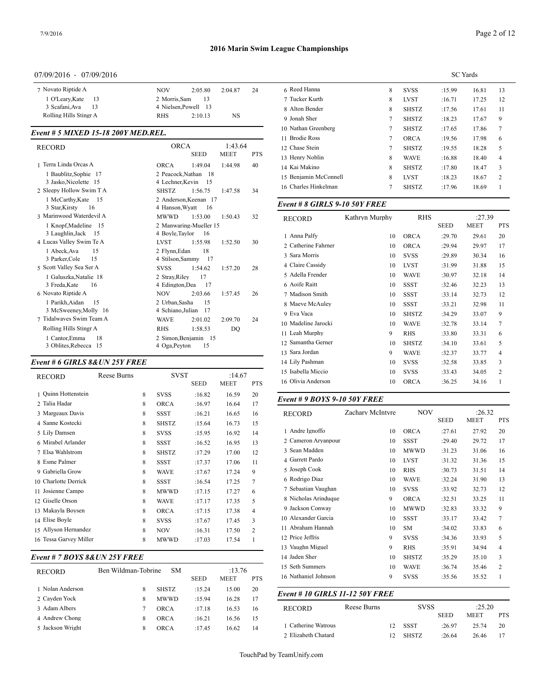#### 07/09/2016 - 07/09/2016

| 7 Novato Riptide A     | <b>NOV</b><br>2:05.80<br>2.0487 | 6 Reed Hann<br>24 |
|------------------------|---------------------------------|-------------------|
| 1 O'Learv.Kate<br>- 13 | 2 Morris.Sam<br>-13             | 7 Tucker Kui      |
| 3 Scafani.Ava<br>-13   | 4 Nielsen.Powell 13             | 8 Alton Bend      |
| Rolling Hills Stingr A | NS<br><b>RHS</b><br>2:10.13     | 0 Jonah Sher      |

#### *Event # 5 MIXED 15-18 200Y MED.REL.*

| <b>RECORD</b>                                                                             | ORCA<br><b>SEED</b>                                                                    | 1:43.64<br><b>MEET</b> | 12 Chase Stein<br><b>PTS</b>                                                    |
|-------------------------------------------------------------------------------------------|----------------------------------------------------------------------------------------|------------------------|---------------------------------------------------------------------------------|
| 1 Terra Linda Orcas A<br>1 Baublitz, Sophie 17<br>3 Jasko, Nicolette 15                   | <b>ORCA</b><br>1:49.04<br>2 Peacock, Nathan<br>-18<br>4 Lechner, Kevin<br>15           | 1:44.98                | 13 Henry Noblin<br>40<br>14 Kai Makino<br>15 Benjamin McC<br>16 Charles Hinkelı |
| 2 Sleepy Hollow Swim T A<br>1 McCarthy, Kate 15<br>3 Star, Kirsty<br>- 16                 | <b>SHSTZ</b><br>1:56.75<br>2 Anderson, Keenan 17<br>4 Hanson, Wyatt<br>16              | 1:47.58                | 34<br>Event # 8 GIRL                                                            |
| 3 Marinwood Waterdevil A<br>1 Knopf, Madeline 15                                          | <b>MWWD</b><br>1:53.00<br>2 Manwaring-Mueller 15                                       | 1:50.43                | 32<br><b>RECORD</b>                                                             |
| 3 Laughlin, Jack<br>- 15<br>4 Lucas Valley Swim Te A<br>15                                | 4 Boyle, Taylor<br>16<br><b>LVST</b><br>1:55.98<br>18                                  | 1:52.50                | 1 Anna Palfy<br>30<br>2 Catherine Fahri                                         |
| 1 Abeck.Ava<br>3 Parker, Cole<br>15<br>5 Scott Valley Sea Ser A<br>1 Galuszka, Natalie 18 | 2 Flynn, Edan<br>4 Stilson, Sammy 17<br><b>SVSS</b><br>1:54.62<br>2 Stray, Riley<br>17 | 1:57.20                | 3 Sara Morris<br>4 Claire Cassidy<br>28<br>5 Adella Frender                     |
| 3 Freda, Kate<br>16<br>6 Novato Riptide A                                                 | 4 Edington, Dea<br>17<br>2:03.66<br><b>NOV</b>                                         | 1:57.45                | 6 Aoife Raitt<br>26<br>7 Madison Smith                                          |
| 1 Parikh, Aidan<br>15<br>3 McSweeney, Molly 16<br>7 Tidalwayes Swim Team A                | 2 Urban, Sasha<br>15<br>4 Schiano, Julian<br>17<br><b>WAVE</b><br>2:01.02              | 2:09.70                | 8 Maeve McAule<br>9 Eva Vaca<br>24<br>10 Madeline Jaroc                         |
| Rolling Hills Stingr A<br>1 Cantor, Emma<br>18<br>3 Oblites, Rebecca 15                   | 1:58.53<br><b>RHS</b><br>2 Simon, Benjamin 15<br>4 Oga, Peyton<br>15                   | DQ                     | 11 Leah Murphy<br>12 Samantha Gern                                              |
|                                                                                           |                                                                                        |                        |                                                                                 |

# *Event # 6 GIRLS 8&UN 25Y FREE*

| <b>RECORD</b>          | Reese Burns |   | <b>SVST</b>  |             | :14.67      |                | 15 Isabella Miccio |
|------------------------|-------------|---|--------------|-------------|-------------|----------------|--------------------|
|                        |             |   |              | <b>SEED</b> | <b>MEET</b> | <b>PTS</b>     | 16 Olivia Anderso: |
| 1 Ouinn Hottenstein    |             | 8 | <b>SVSS</b>  | :16.82      | 16.59       | 20             | Event # $9$ BOYS   |
| 2 Talia Hadar          |             | 8 | <b>ORCA</b>  | :16.97      | 16.64       | 17             |                    |
| 3 Margeaux Davis       |             | 8 | <b>SSST</b>  | :16.21      | 16.65       | 16             | <b>RECORD</b>      |
| 4 Sanne Kostecki       |             | 8 | <b>SHSTZ</b> | :15.64      | 16.73       | 15             |                    |
| 5 Lily Damsen          |             | 8 | <b>SVSS</b>  | :15.95      | 16.92       | 14             | 1 Andre Ignoffo    |
| 6 Mirabel Arlander     |             | 8 | <b>SSST</b>  | :16.52      | 16.95       | 13             | 2 Cameron Aryar    |
| 7 Elsa Wahlstrom       |             | 8 | <b>SHSTZ</b> | :17.29      | 17.00       | 12             | 3 Sean Madden      |
| 8 Esme Palmer          |             | 8 | <b>SSST</b>  | :17.37      | 17.06       | 11             | 4 Garrett Pardo    |
| 9 Gabriella Grow       |             | 8 | <b>WAVE</b>  | :17.67      | 17.24       | 9              | 5 Joseph Cook      |
| 10 Charlotte Derrick   |             | 8 | <b>SSST</b>  | :16.54      | 17.25       | 7              | 6 Rodrigo Diaz     |
| 11 Josienne Campo      |             | 8 | <b>MWWD</b>  | :17.15      | 17.27       | 6              | 7 Sebastian Vaug   |
| 12 Giselle Orson       |             | 8 | <b>WAVE</b>  | :17.17      | 17.35       | 5              | 8 Nicholas Arind   |
| 13 Makayla Boysen      |             | 8 | <b>ORCA</b>  | :17.15      | 17.38       | 4              | 9 Jackson Conwa    |
| 14 Elise Boyle         |             | 8 | <b>SVSS</b>  | :17.67      | 17.45       | 3              | 10 Alexander Gard  |
| 15 Allyson Hernandez   |             | 8 | <b>NOV</b>   | :16.31      | 17.50       | $\overline{2}$ | 11 Abraham Hann    |
| 16 Tessa Garvey Miller |             | 8 | <b>MWWD</b>  | :17.03      | 17.54       | 1              | 12 Price Jeffris   |
|                        |             |   |              |             |             |                | 12 Vanche Manel    |

# *Event # 7 BOYS 8&UN 25Y FREE*

| <b>RECORD</b>    | Ben Wildman-Tobrine | <b>SM</b>    | <b>SEED</b> | :13.76<br><b>MEET</b> | <b>PTS</b> | 15 Seth Summers<br>16 Nathaniel Johns |
|------------------|---------------------|--------------|-------------|-----------------------|------------|---------------------------------------|
| 1 Nolan Anderson | x                   | <b>SHSTZ</b> | :15.24      | 15.00                 | 20         |                                       |
| 2 Cayden Yock    | x                   | <b>MWWD</b>  | :15.94      | 16.28                 | 17         | Event # 10 GIR                        |
| 3 Adam Albers    |                     | ORCA         | :17.18      | 16.53                 | 16         | <b>RECORD</b>                         |
| 4 Andrew Chong   | x                   | ORCA         | :16.21      | 16.56                 | 15         |                                       |
| 5 Jackson Wright | 8                   | ORCA         | :17.45      | 16.62                 | 14         | 1 Catherine Watre                     |
|                  |                     |              |             |                       |            | ________                              |

|                       | <b>SC</b> Yards |              |        |       |    |  |
|-----------------------|-----------------|--------------|--------|-------|----|--|
| 6 Reed Hanna          | 8               | <b>SVSS</b>  | :15.99 | 16.81 | 13 |  |
| 7 Tucker Kurth        | 8               | <b>LVST</b>  | :16.71 | 17.25 | 12 |  |
| 8 Alton Bender        | 8               | <b>SHSTZ</b> | :17.56 | 17.61 | 11 |  |
| 9 Jonah Sher          | 7               | <b>SHSTZ</b> | :18.23 | 17.67 | 9  |  |
| 10 Nathan Greenberg   | 7               | <b>SHSTZ</b> | :17.65 | 17.86 | 7  |  |
| 11 Brodie Ross        | $\tau$          | <b>ORCA</b>  | :19.56 | 17.98 | 6  |  |
| 12 Chase Stein        | 7               | <b>SHSTZ</b> | :19.55 | 18.28 | 5  |  |
| 13 Henry Noblin       | 8               | <b>WAVE</b>  | :16.88 | 18.40 | 4  |  |
| 14 Kai Makino         | 8               | <b>SHSTZ</b> | :17.80 | 18.47 | 3  |  |
| 15 Benjamin McConnell | 8               | <b>LVST</b>  | :18.23 | 18.67 | 2  |  |
| 16 Charles Hinkelman  | 7               | <b>SHSTZ</b> | :17.96 | 18.69 | 1  |  |
|                       |                 |              |        |       |    |  |

# *Event # 8 GIRLS 9-10 50Y FREE*

| <b>RECORD</b>       | Kathryn Murphy | <b>RHS</b>   |             | :27.39 |            |
|---------------------|----------------|--------------|-------------|--------|------------|
|                     |                |              | <b>SEED</b> | MEET   | <b>PTS</b> |
| 1 Anna Palfy        | 10             | <b>ORCA</b>  | :29.70      | 29.61  | 20         |
| 2 Catherine Fahrner | 10             | <b>ORCA</b>  | :29.94      | 29.97  | 17         |
| 3 Sara Morris       | 10             | <b>SVSS</b>  | :29.89      | 30.34  | 16         |
| 4 Claire Cassidy    | 10             | <b>LVST</b>  | :31.99      | 31.88  | 15         |
| 5 Adella Frender    | 10             | <b>WAVE</b>  | :30.97      | 32.18  | 14         |
| 6 Aoife Raitt       | 10             | <b>SSST</b>  | :32.46      | 32.23  | 13         |
| 7 Madison Smith     | 10             | <b>SSST</b>  | :33.14      | 32.73  | 12         |
| 8 Maeve McAuley     | 10             | <b>SSST</b>  | :33.21      | 32.98  | 11         |
| 9 Eva Vaca          | 10             | <b>SHSTZ</b> | :34.29      | 33.07  | 9          |
| 10 Madeline Jarocki | 10             | WAVE         | :32.78      | 33.14  | 7          |
| 11 Leah Murphy      | 9              | <b>RHS</b>   | :33.80      | 33.31  | 6          |
| 12 Samantha Gerner  | 10             | <b>SHSTZ</b> | :34.10      | 33.61  | 5          |
| 13 Sara Jordan      | 9              | <b>WAVE</b>  | :32.37      | 33.77  | 4          |
| 14 Lily Pashman     | 10             | <b>SVSS</b>  | :32.58      | 33.85  | 3          |
| 15 Isabella Miccio  | 10             | <b>SVSS</b>  | :33.43      | 34.05  | 2          |
| 16 Olivia Anderson  | 10             | <b>ORCA</b>  | :36.25      | 34.16  | 1          |
|                     |                |              |             |        |            |

# *Event # 9 BOYS 9-10 50Y FREE*

| <b>RECORD</b>                   | Zachary McIntyre   |    | <b>NOV</b>   |             | :26.32      |                |
|---------------------------------|--------------------|----|--------------|-------------|-------------|----------------|
|                                 |                    |    |              | <b>SEED</b> | <b>MEET</b> | <b>PTS</b>     |
| 1 Andre Ignoffo                 |                    | 10 | <b>ORCA</b>  | :27.61      | 27.92       | 20             |
| 2 Cameron Arvanpour             |                    | 10 | <b>SSST</b>  | :29.40      | 29.72       | 17             |
| 3 Sean Madden                   |                    | 10 | <b>MWWD</b>  | :31.23      | 31.06       | 16             |
| 4 Garrett Pardo                 |                    | 10 | <b>LVST</b>  | :31.32      | 31.36       | 15             |
| 5 Joseph Cook                   |                    | 10 | <b>RHS</b>   | :30.73      | 31.51       | 14             |
| 6 Rodrigo Diaz                  |                    | 10 | <b>WAVE</b>  | :32.24      | 31.90       | 13             |
| 7 Sebastian Vaughan             |                    | 10 | <b>SVSS</b>  | :33.92      | 32.73       | 12             |
| 8 Nicholas Arinduque            |                    | 9  | <b>ORCA</b>  | :32.51      | 33.25       | 11             |
| 9 Jackson Conway                |                    | 10 | <b>MWWD</b>  | :32.83      | 33.32       | 9              |
| 10 Alexander Garcia             |                    | 10 | <b>SSST</b>  | :33.17      | 33.42       | 7              |
| 11 Abraham Hannah               |                    | 10 | <b>SM</b>    | :34.02      | 33.83       | 6              |
| 12 Price Jeffris                |                    | 9  | <b>SVSS</b>  | :34.36      | 33.93       | 5              |
| 13 Vaughn Miguel                |                    | 9  | <b>RHS</b>   | :35.91      | 34.94       | $\overline{4}$ |
| 14 Jaden Sher                   |                    | 10 | <b>SHSTZ</b> | :35.29      | 35.10       | 3              |
| 15 Seth Summers                 |                    | 10 | <b>WAVE</b>  | :36.74      | 35.46       | 2              |
| 16 Nathaniel Johnson            |                    | 9  | <b>SVSS</b>  | :35.56      | 35.52       | 1              |
| Event # 10 GIRLS 11-12 50Y FREE |                    |    |              |             |             |                |
| <b>RECORD</b>                   | <b>Reese Burns</b> |    | <b>SVSS</b>  |             | :25.20      |                |
|                                 |                    |    |              | <b>SEED</b> | <b>MEET</b> | <b>PTS</b>     |
| 1 Catherine Watrous             |                    | 12 | <b>SSST</b>  | :26.97      | 25.74       | 20             |

Elizabeth Chatard 12 SHSTZ :26.64 26.46 17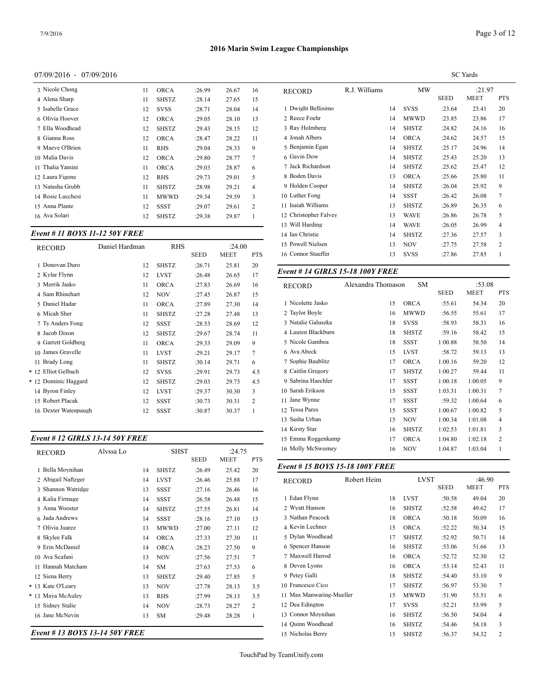#### 07/09/2016 - 07/09/2016

| 3 Nicole Chong    | 11 | <b>ORCA</b>  | :26.99 | 26.67 | 16             | <b>RECORD</b>  |
|-------------------|----|--------------|--------|-------|----------------|----------------|
| 4 Alena Sharp     | 11 | <b>SHSTZ</b> | :28.14 | 27.65 | 15             |                |
| 5 Isabelle Grace  | 12 | <b>SVSS</b>  | :28.71 | 28.04 | 14             | 1 Dwight Be    |
| 6 Olivia Hoover   | 12 | <b>ORCA</b>  | :29.05 | 28.10 | 13             | 2 Reece Foel   |
| 7 Ella Woodhead   | 12 | <b>SHSTZ</b> | :29.43 | 28.15 | 12             | 3 Ray Holmb    |
| 8 Gianna Ross     | 12 | <b>ORCA</b>  | :28.47 | 28.22 | 11             | 4 Jonah Albe   |
| 9 Maeve O'Brien   | 11 | <b>RHS</b>   | :29.04 | 28.33 | 9              | 5 Benjamin I   |
| 10 Malia Davis    | 12 | <b>ORCA</b>  | :29.80 | 28.77 | 7              | 6 Gavin Dow    |
| 11 Thalia Yamini  | 11 | <b>ORCA</b>  | :29.03 | 28.87 | 6              | 7 Jack Richa   |
| 12 Laura Figone   | 12 | <b>RHS</b>   | :29.73 | 29.01 | 5              | 8 Boden Dav    |
| 13 Natasha Grubb  | 11 | <b>SHSTZ</b> | :28.98 | 29.21 | $\overline{4}$ | 9 Holden Co    |
| 14 Rosie Lucchesi | 11 | MWWD         | :29.34 | 29.59 | 3              | 10 Luther Fon  |
| 15 Anna Plante    | 12 | SSST         | :29.07 | 29.61 | $\overline{2}$ | 11 Isaiah Will |
| 16 Ava Solari     | 12 | <b>SHSTZ</b> | :29.38 | 29.87 | $\mathbf{1}$   | 12 Christophe  |
|                   |    |              |        |       |                |                |

#### *Event # 11 BOYS 11-12 50Y FREE*

| <b>RECORD</b>        | Daniel Hardman | <b>RHS</b>   |             | :24.00      |            | 15 Powell Nielsen |
|----------------------|----------------|--------------|-------------|-------------|------------|-------------------|
|                      |                |              | <b>SEED</b> | <b>MEET</b> | <b>PTS</b> | 16 Connor Stauffe |
| 1 Donovan Duro       | 12             | <b>SHSTZ</b> | :26.71      | 25.81       | 20         |                   |
| 2 Kylar Flynn        | 12             | <b>LVST</b>  | :26.48      | 26.65       | 17         | Event #14 GIR     |
| 3 Merrik Jasko       | 11             | <b>ORCA</b>  | :27.83      | 26.69       | 16         | <b>RECORD</b>     |
| 4 Sam Rhinehart      | 12             | <b>NOV</b>   | :27.45      | 26.87       | 15         |                   |
| 5 Daniel Hadar       | 11             | <b>ORCA</b>  | :27.89      | 27.30       | 14         | 1 Nicolette Jasko |
| 6 Micah Sher         | 11             | <b>SHSTZ</b> | :27.28      | 27.48       | 13         | 2 Taylor Boyle    |
| 7 Ty Anders Fong     | 12             | <b>SSST</b>  | :28.53      | 28.69       | 12         | 3 Natalie Galuszł |
| 8 Jacob Dixon        | 12             | <b>SHSTZ</b> | :29.67      | 28.74       | 11         | 4 Lauren Blackbı  |
| 9 Garrett Goldberg   | 11             | <b>ORCA</b>  | :29.33      | 29.09       | 9          | 5 Nicole Gamboa   |
| 10 James Gravelle    | 11             | <b>LVST</b>  | :29.21      | 29.17       | 7          | 6 Ava Abeck       |
| 11 Brady Long        | 11             | <b>SHSTZ</b> | :30.14      | 29.71       | 6          | 7 Sophie Baublitz |
| * 12 Elliot Gelbach  | 12             | <b>SVSS</b>  | :29.91      | 29.73       | 4.5        | 8 Caitlin Gregory |
| * 12 Dominic Haggard | 12             | <b>SHSTZ</b> | :29.03      | 29.73       | 4.5        | 9 Sabrina Haechl  |
| 14 Byron Finley      | 12             | <b>LVST</b>  | :29.37      | 30.30       | 3          | 10 Sarah Erikson  |
| 15 Robert Placak     | 12             | <b>SSST</b>  | :30.73      | 30.31       | 2          | 11 Jane Wynne     |
| 16 Dexter Watenpaugh | 12             | <b>SSST</b>  | :30.87      | 30.37       | 1          | 12 Tessa Pares    |
|                      |                |              |             |             |            | $-0.1$            |

#### *Event # 12 GIRLS 13-14 50Y FREE*

| <b>RECORD</b>      | Alvssa Lo |    | <b>SHST</b>  | <b>SEED</b> | :24.75<br><b>MEET</b> | <b>PTS</b> | 16 Molly McSweeney             |             | 16 | <b>NOV</b>   | 1:04.87     | 1:03.04     |
|--------------------|-----------|----|--------------|-------------|-----------------------|------------|--------------------------------|-------------|----|--------------|-------------|-------------|
| 1 Bella Moynihan   |           | 14 | <b>SHSTZ</b> | :26.49      | 25.42                 | 20         | Event #15 BOYS 15-18 100Y FREE |             |    |              |             |             |
| 2 Abigail Naftzger |           | 14 | <b>LVST</b>  | :26.46      | 25.88                 | 17         | <b>RECORD</b>                  | Robert Heim |    | <b>LVST</b>  |             | :46.90      |
| 3 Shannon Watridge |           | 13 | <b>SSST</b>  | :27.16      | 26.46                 | 16         |                                |             |    |              | <b>SEED</b> | <b>MEET</b> |
| 4 Kalia Firmage    |           | 14 | <b>SSST</b>  | :26.58      | 26.48                 | 15         | 1 Edan Flynn                   |             | 18 | <b>LVST</b>  | :50.58      | 49.04       |
| 5 Anna Wooster     |           | 14 | <b>SHSTZ</b> | :27.55      | 26.81                 | 14         | 2 Wyatt Hanson                 |             | 16 | <b>SHSTZ</b> | :52.58      | 49.62       |
| 6 Jada Andrews     |           | 14 | <b>SSST</b>  | :28.16      | 27.10                 | 13         | 3 Nathan Peacock               |             | 18 | <b>ORCA</b>  | :50.18      | 50.09       |
| 7 Olivia Juarez    |           | 13 | <b>MWWD</b>  | :27.00      | 27.11                 | 12         | 4 Kevin Lechner                |             | 15 | <b>ORCA</b>  | :52.22      | 50.34       |
| 8 Skylee Falk      |           | 14 | <b>ORCA</b>  | :27.33      | 27.30                 | 11         | 5 Dylan Woodhead               |             | 17 | <b>SHSTZ</b> | :52.92      | 50.71       |
| 9 Erin McDaniel    |           | 14 | <b>ORCA</b>  | :28.23      | 27.50                 | 9          | 6 Spencer Hanson               |             | 16 | <b>SHSTZ</b> | :53.06      | 51.66       |
| 10 Ava Scafani     |           | 13 | <b>NOV</b>   | :27.56      | 27.51                 | 7          | 7 Maxwell Harrod               |             | 16 | <b>ORCA</b>  | :52.72      | 52.30       |
| 11 Hannah Matcham  |           | 14 | <b>SM</b>    | :27.63      | 27.53                 | 6          | 8 Deven Lyons                  |             | 16 | <b>ORCA</b>  | :53.14      | 52.43       |
| 12 Siena Berry     |           | 13 | <b>SHSTZ</b> | :29.40      | 27.85                 | 5          | 9 Petey Galli                  |             | 18 | <b>SHSTZ</b> | :54.40      | 53.10       |
| * 13 Kate O'Leary  |           | 13 | <b>NOV</b>   | :27.78      | 28.13                 | 3.5        | 10 Francesco Cico              |             | 17 | <b>SHSTZ</b> | :56.97      | 53.30       |
| * 13 Maya McAuley  |           | 13 | <b>RHS</b>   | :27.99      | 28.13                 | 3.5        | 11 Max Manwaring-Mueller       |             | 15 | <b>MWWD</b>  | :51.90      | 53.51       |
| 15 Sidney Stalie   |           | 14 | <b>NOV</b>   | :28.73      | 28.27                 | 2          | 12 Dea Edington                |             | 17 | <b>SVSS</b>  | :52.21      | 53.99       |
| 16 Jane McNevin    |           | 13 | <b>SM</b>    | :29.48      | 28.28                 |            | 13 Connor Moynihan             |             | 16 | <b>SHSTZ</b> | :56.50      | 54.04       |
|                    |           |    |              |             |                       |            | 14 Ouinn Woodhead              |             | 16 | <b>SHSTZ</b> | :54.46      | 54.18       |

*Event # 13 BOYS 13-14 50Y FREE*

|                       |               |    |              |             | <b>SC</b> Yards |            |
|-----------------------|---------------|----|--------------|-------------|-----------------|------------|
| <b>RECORD</b>         | R.J. Williams |    | MW           |             | :21.97          |            |
|                       |               |    |              | <b>SEED</b> | <b>MEET</b>     | <b>PTS</b> |
| 1 Dwight Bellisimo    |               | 14 | <b>SVSS</b>  | :23.64      | 23.41           | 20         |
| 2 Reece Foehr         |               | 14 | <b>MWWD</b>  | :23.85      | 23.86           | 17         |
| 3 Ray Holmberg        |               | 14 | <b>SHSTZ</b> | :24.82      | 24.16           | 16         |
| 4 Jonah Albers        |               | 14 | <b>ORCA</b>  | :24.62      | 24.57           | 15         |
| 5 Benjamin Egan       |               | 14 | <b>SHSTZ</b> | :25.17      | 24.96           | 14         |
| 6 Gavin Dow           |               | 14 | <b>SHSTZ</b> | :25.43      | 25.20           | 13         |
| 7 Jack Richardson     |               | 14 | <b>SHSTZ</b> | :25.62      | 25.47           | 12         |
| 8 Boden Davis         |               | 13 | <b>ORCA</b>  | :25.66      | 25.80           | 11         |
| 9 Holden Cooper       |               | 14 | <b>SHSTZ</b> | :26.04      | 25.92           | 9          |
| 10 Luther Fong        |               | 14 | <b>SSST</b>  | :26.42      | 26.08           | 7          |
| 11 Isaiah Williams    |               | 13 | <b>SHSTZ</b> | :26.89      | 26.35           | 6          |
| 12 Christopher Falvey |               | 13 | WAVE         | :26.86      | 26.78           | 5          |
| 13 Will Harding       |               | 14 | <b>WAVE</b>  | :26.05      | 26.99           | 4          |
| 14 Ian Christie       |               | 14 | <b>SHSTZ</b> | :27.36      | 27.57           | 3          |
| 15 Powell Nielsen     |               | 13 | <b>NOV</b>   | :27.75      | 27.58           | 2          |
| 16 Connor Stauffer    |               | 13 | <b>SVSS</b>  | :27.86      | 27.85           | 1          |
|                       |               |    |              |             |                 |            |

#### *Event # 14 GIRLS 15-18 100Y FREE*

| <b>RECORD</b>       | Alexandra Thomason | <b>SM</b>    | <b>SEED</b> | :53.08<br><b>MEET</b> | <b>PTS</b>     |
|---------------------|--------------------|--------------|-------------|-----------------------|----------------|
| 1 Nicolette Jasko   | 15                 | <b>ORCA</b>  | :55.61      | 54.34                 | 20             |
| 2 Taylor Boyle      | 16                 | <b>MWWD</b>  | :56.55      | 55.61                 | 17             |
| 3 Natalie Galuszka  | 18                 | <b>SVSS</b>  | :58.93      | 58.31                 | 16             |
| 4 Lauren Blackburn  | 18                 | <b>SHSTZ</b> | :59.16      | 58.42                 | 15             |
| 5 Nicole Gamboa     | 18                 | <b>SSST</b>  | 1:00.88     | 58.50                 | 14             |
| 6 Ava Abeck         | 15                 | <b>LVST</b>  | :58.72      | 59.13                 | 13             |
| 7 Sophie Baublitz   | 17                 | <b>ORCA</b>  | 1:00.16     | 59.20                 | 12             |
| 8 Caitlin Gregory   | 17                 | <b>SHSTZ</b> | 1:00.27     | 59.44                 | 11             |
| 9 Sabrina Haechler  | 17                 | <b>SSST</b>  | 1:00.18     | 1:00.05               | 9              |
| Sarah Erikson<br>10 | 15                 | <b>SSST</b>  | 1:03.31     | 1:00.31               | 7              |
| Jane Wynne<br>11    | 17                 | <b>SSST</b>  | :59.32      | 1:00.64               | 6              |
| 12 Tessa Pares      | 15                 | <b>SSST</b>  | 1:00.67     | 1:00.82               | 5              |
| Sasha Urban<br>13   | 15                 | <b>NOV</b>   | 1:00.34     | 1:01.08               | 4              |
| 14 Kirsty Star      | 16                 | <b>SHSTZ</b> | 1:02.53     | 1:01.81               | 3              |
| 15 Emma Roggenkamp  | 17                 | <b>ORCA</b>  | 1:04.80     | 1:02.18               | $\overline{c}$ |
| 16 Molly McSweeney  | 16                 | <b>NOV</b>   | 1:04.87     | 1:03.04               | 1              |
|                     |                    |              |             |                       |                |

| <b>RECORD</b>            | Robert Heim |    | <b>LVST</b>  |         | :46.90 |                |
|--------------------------|-------------|----|--------------|---------|--------|----------------|
|                          |             |    |              | SEED    | MEET   | <b>PTS</b>     |
| 1 Edan Flynn             |             | 18 | <b>LVST</b>  | :50.58  | 49.04  | 20             |
| 2 Wyatt Hanson           |             | 16 | <b>SHSTZ</b> | :52.58  | 49.62  | 17             |
| 3 Nathan Peacock         |             | 18 | <b>ORCA</b>  | :50.18  | 50.09  | 16             |
| 4 Kevin Lechner          |             | 15 | <b>ORCA</b>  | :52.22  | 50.34  | 15             |
| 5 Dylan Woodhead         |             | 17 | <b>SHSTZ</b> | :52.92  | 50.71  | 14             |
| 6 Spencer Hanson         |             | 16 | <b>SHSTZ</b> | :53.06  | 51.66  | 13             |
| 7 Maxwell Harrod         |             | 16 | <b>ORCA</b>  | :52.72  | 52.30  | 12             |
| 8 Deven Lyons            |             | 16 | <b>ORCA</b>  | : 53.14 | 52.43  | 11             |
| 9 Petey Galli            |             | 18 | <b>SHSTZ</b> | :54.40  | 53.10  | 9              |
| 10 Francesco Cico        |             | 17 | <b>SHSTZ</b> | :56.97  | 53.30  | 7              |
| 11 Max Manwaring-Mueller |             | 15 | <b>MWWD</b>  | :51.90  | 53.51  | 6              |
| 12 Dea Edington          |             | 17 | <b>SVSS</b>  | :52.21  | 53.99  | 5              |
| 13 Connor Moynihan       |             | 16 | <b>SHSTZ</b> | :56.50  | 54.04  | $\overline{4}$ |
| 14 Ouinn Woodhead        |             | 16 | <b>SHSTZ</b> | :54.46  | 54.18  | 3              |
| 15 Nicholas Berry        |             | 15 | <b>SHSTZ</b> | :56.37  | 54.32  | $\overline{c}$ |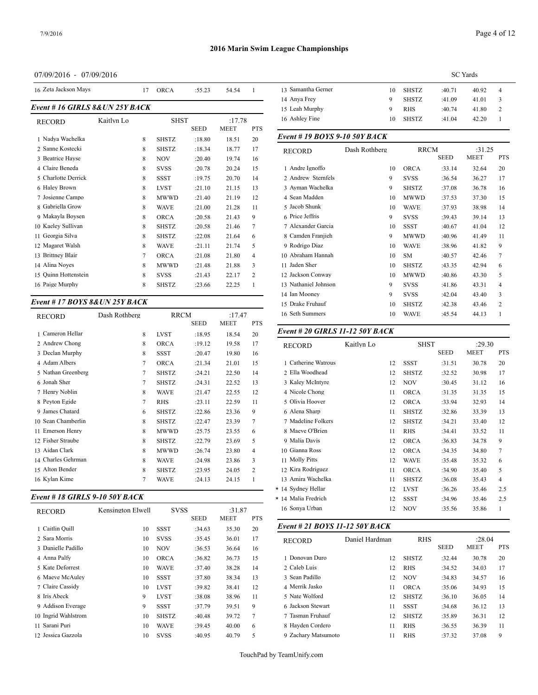# 07/09/2016 - 07/09/2016

| 16 Zeta Jackson Mays            |            | 17 | <b>ORCA</b>  | :55.23      | 54.54                 |                | 13 Samantha Gerner           | 10            | <b>SHSTZ</b> | :40.71      | 40.92       | $\overline{4}$ |
|---------------------------------|------------|----|--------------|-------------|-----------------------|----------------|------------------------------|---------------|--------------|-------------|-------------|----------------|
|                                 |            |    |              |             |                       |                | 14 Anya Frey                 | 9             | <b>SHSTZ</b> | :41.09      | 41.01       | 3              |
| Event # 16 GIRLS 8& UN 25Y BACK |            |    |              |             |                       |                | 15 Leah Murphy               | 9             | <b>RHS</b>   | :40.74      | 41.80       | 2              |
| <b>RECORD</b>                   | Kaitlyn Lo |    | <b>SHST</b>  | <b>SEED</b> | :17.78<br><b>MEET</b> | <b>PTS</b>     | 16 Ashley Fine               | 10            | <b>SHSTZ</b> | :41.04      | 42.20       |                |
| 1 Nadva Wachelka                |            | 8  | <b>SHSTZ</b> | :18.80      | 18.51                 | 20             | Event #19 BOYS 9-10 50Y BACK |               |              |             |             |                |
| 2 Sanne Kostecki                |            | 8  | <b>SHSTZ</b> | :18.34      | 18.77                 | 17             | <b>RECORD</b>                | Dash Rothberg | <b>RRCM</b>  |             | :31.25      |                |
| 3 Beatrice Havse                |            | 8  | <b>NOV</b>   | :20.40      | 19.74                 | 16             |                              |               |              | <b>SEED</b> | <b>MEET</b> | <b>PTS</b>     |
| 4 Claire Beneda                 |            | 8  | <b>SVSS</b>  | :20.78      | 20.24                 | 15             | 1 Andre Ignoffo              | 10            | <b>ORCA</b>  | :33.14      | 32.64       | 20             |
| 5 Charlotte Derrick             |            | 8  | <b>SSST</b>  | :19.75      | 20.70                 | 14             | 2 Andrew Sternfels           | 9             | <b>SVSS</b>  | :36.54      | 36.27       | 17             |
| 6 Haley Brown                   |            | 8  | <b>LVST</b>  | :21.10      | 21.15                 | 13             | 3 Ayman Wachelka             | 9             | <b>SHSTZ</b> | :37.08      | 36.78       | 16             |
| 7 Josienne Campo                |            | 8  | <b>MWWD</b>  | :21.40      | 21.19                 | 12             | 4 Sean Madden                | 10            | <b>MWWD</b>  | :37.53      | 37.30       | 15             |
| 8 Gabriella Grow                |            | 8  | <b>WAVE</b>  | :21.00      | 21.28                 | 11             | 5 Jacob Shunk                | 10            | <b>WAVE</b>  | :37.93      | 38.98       | 14             |
| 9 Makayla Boysen                |            | 8  | <b>ORCA</b>  | :20.58      | 21.43                 | 9              | 6 Price Jeffris              | 9             | <b>SVSS</b>  | :39.43      | 39.14       | 13             |
| 10 Kaeley Sullivan              |            | 8  | <b>SHSTZ</b> | :20.58      | 21.46                 |                | 7 Alexander Garcia           | 10            | <b>SSST</b>  | :40.67      | 41.04       | 12             |
| 11 Georgia Silva                |            | 8  | <b>SHSTZ</b> | :22.08      | 21.64                 | 6              | 8 Camden Franjieh            | 9             | <b>MWWD</b>  | :40.96      | 41.49       | 11             |
| 12 Magaret Walsh                |            | 8  | <b>WAVE</b>  | :21.11      | 21.74                 | 5              | 9 Rodrigo Diaz               | 10            | <b>WAVE</b>  | :38.96      | 41.82       | 9              |
| 13 Brittney Blair               |            |    | <b>ORCA</b>  | :21.08      | 21.80                 | $\overline{4}$ | 10 Abraham Hannah            | 10            | <b>SM</b>    | :40.57      | 42.46       | 7              |
| 14 Alina Noves                  |            | 8  | <b>MWWD</b>  | :21.48      | 21.88                 | 3              | 11 Jaden Sher                | 10            | <b>SHSTZ</b> | :43.35      | 42.94       | 6              |
| 15 Quinn Hottenstein            |            | 8  | <b>SVSS</b>  | :21.43      | 22.17                 | 2              | 12 Jackson Conway            | 10            | <b>MWWD</b>  | :40.86      | 43.30       | 5              |
| 16 Paige Murphy                 |            | 8  | <b>SHSTZ</b> | :23.66      | 22.25                 |                | 13 Nathaniel Johnson         | 9             | <b>SVSS</b>  | :41.86      | 43.31       | 4              |
|                                 |            |    |              |             |                       |                |                              |               |              |             |             |                |

# *Event # 17 BOYS 8&UN 25Y BACK*

| <b>RECORD</b>      | Dash Rothberg  | <b>RRCM</b>  |             | :17.47      |                | 16 Seth Summers   |
|--------------------|----------------|--------------|-------------|-------------|----------------|-------------------|
|                    |                |              | <b>SEED</b> | <b>MEET</b> | <b>PTS</b>     |                   |
| 1 Cameron Hellar   | 8              | <b>LVST</b>  | :18.95      | 18.54       | 20             | Event # 20 GIR    |
| 2 Andrew Chong     | 8              | <b>ORCA</b>  | :19.12      | 19.58       | 17             | <b>RECORD</b>     |
| 3 Declan Murphy    | 8              | SSST         | :20.47      | 19.80       | 16             |                   |
| 4 Adam Albers      | $\overline{7}$ | <b>ORCA</b>  | :21.34      | 21.01       | 15             | 1 Catherine Watro |
| 5 Nathan Greenberg | $\tau$         | SHSTZ        | :24.21      | 22.50       | 14             | 2 Ella Woodhead   |
| 6 Jonah Sher       | 7              | <b>SHSTZ</b> | :24.31      | 22.52       | 13             | 3 Kaley McIntyre  |
| 7 Henry Noblin     | 8              | <b>WAVE</b>  | :21.47      | 22.55       | 12             | 4 Nicole Chong    |
| 8 Peyton Egide     | $\overline{7}$ | <b>RHS</b>   | : 23.11     | 22.59       | 11             | 5 Olivia Hoover   |
| 9 James Chatard    | 6              | <b>SHSTZ</b> | :22.86      | 23.36       | 9              | 6 Alena Sharp     |
| 10 Sean Chamberlin | 8              | <b>SHSTZ</b> | :22.47      | 23.39       | 7              | 7 Madeline Folke  |
| 11 Emerson Henry   | 8              | <b>MWWD</b>  | :25.75      | 23.55       | 6              | 8 Maeve O'Brien   |
| 12 Fisher Straube  | 8              | <b>SHSTZ</b> | :22.79      | 23.69       | 5              | 9 Malia Davis     |
| 13 Aidan Clark     | 8              | <b>MWWD</b>  | :26.74      | 23.80       | $\overline{4}$ | 10 Gianna Ross    |
| 14 Charles Gehrman | 8              | <b>WAVE</b>  | :24.98      | 23.86       | 3              | 11 Molly Pitts    |
| 15 Alton Bender    | 8              | <b>SHSTZ</b> | :23.95      | 24.05       | 2              | 12 Kira Rodriguez |
| 16 Kylan Kime      | $\overline{7}$ | <b>WAVE</b>  | :24.13      | 24.15       | 1              | 13 Amira Wachelk  |
|                    |                |              |             |             |                |                   |

# *Event # 18 GIRLS 9-10 50Y BACK*

| <b>RECORD</b>       | Kensington Elwell | <b>SVSS</b> |        | :31.87      |            | 16 Sonya Urban   |
|---------------------|-------------------|-------------|--------|-------------|------------|------------------|
|                     |                   |             | SEED   | <b>MEET</b> | <b>PTS</b> |                  |
| 1 Caitlin Quill     | 10                | SSST        | :34.63 | 35.30       | 20         | Event # 21 $BOY$ |
| 2 Sara Morris       | 10                | <b>SVSS</b> | :35.45 | 36.01       | 17         | <b>RECORD</b>    |
| 3 Danielle Padillo  | 10                | <b>NOV</b>  | :36.53 | 36.64       | 16         |                  |
| 4 Anna Palfy        | 10                | <b>ORCA</b> | :36.82 | 36.73       | 15         | 1 Donovan Duro   |
| 5 Kate Deforrest    | 10                | <b>WAVE</b> | :37.40 | 38.28       | 14         | 2 Caleb Luis     |
| 6 Maeve McAuley     | 10                | <b>SSST</b> | :37.80 | 38.34       | 13         | 3 Sean Padillo   |
| 7 Claire Cassidy    | 10                | <b>LVST</b> | :39.82 | 38.41       | 12         | 4 Merrik Jasko   |
| 8 Iris Abeck        | 9                 | <b>LVST</b> | :38.08 | 38.96       | 11         | 5 Nate Wolford   |
| 9 Addison Everage   | 9                 | <b>SSST</b> | :37.79 | 39.51       | 9          | 6 Jackson Stewar |
| 10 Ingrid Wahlstrom | 10                | SHSTZ       | :40.48 | 39.72       | 7          | 7 Tasman Fruhau  |
| 11 Sarani Puri      | 10                | <b>WAVE</b> | :39.45 | 40.00       | 6          | 8 Hayden Corder  |
| 12 Jessica Gazzola  | 10                | <b>SVSS</b> | :40.95 | 40.79       | 5          | 9 Zachary Matsur |

| 14 Anya Frey                  |               | 9  | <b>SHSTZ</b> | :41.09      | 41.01       | 3              |
|-------------------------------|---------------|----|--------------|-------------|-------------|----------------|
| 15 Leah Murphy                |               | 9  | <b>RHS</b>   | :40.74      | 41.80       | $\overline{2}$ |
| 16 Ashley Fine                |               | 10 | <b>SHSTZ</b> | :41.04      | 42.20       | 1              |
| Event # 19 BOYS 9-10 50Y BACK |               |    |              |             |             |                |
| <b>RECORD</b>                 | Dash Rothberg |    | <b>RRCM</b>  |             | :31.25      |                |
|                               |               |    |              | <b>SEED</b> | <b>MEET</b> | <b>PTS</b>     |
| 1 Andre Ignoffo               |               | 10 | <b>ORCA</b>  | :33.14      | 32.64       | 20             |
| 2 Andrew Sternfels            |               | 9  | <b>SVSS</b>  | :36.54      | 36.27       | 17             |
| 3 Ayman Wachelka              |               | 9  | <b>SHSTZ</b> | :37.08      | 36.78       | 16             |
| 4 Sean Madden                 |               | 10 | <b>MWWD</b>  | :37.53      | 37.30       | 15             |
| 5 Jacob Shunk                 |               | 10 | <b>WAVE</b>  | :37.93      | 38.98       | 14             |
| 6 Price Jeffris               |               | 9  | <b>SVSS</b>  | :39.43      | 39.14       | 13             |
| 7 Alexander Garcia            |               | 10 | <b>SSST</b>  | :40.67      | 41.04       | 12             |
| 8 Camden Franjieh             |               | 9  | <b>MWWD</b>  | :40.96      | 41.49       | 11             |
| 9 Rodrigo Diaz                |               | 10 | <b>WAVE</b>  | :38.96      | 41.82       | 9              |
| 10 Abraham Hannah             |               | 10 | <b>SM</b>    | :40.57      | 42.46       | 7              |
| 11 Jaden Sher                 |               | 10 | <b>SHSTZ</b> | :43.35      | 42.94       | 6              |
| 12 Jackson Conway             |               | 10 | <b>MWWD</b>  | :40.86      | 43.30       | 5              |
| 13 Nathaniel Johnson          |               | 9  | <b>SVSS</b>  | :41.86      | 43.31       | $\overline{4}$ |
| 14 Ian Mooney                 |               | 9  | <b>SVSS</b>  | :42.04      | 43.40       | 3              |
| 15 Drake Fruhauf              |               | 10 | <b>SHSTZ</b> | :42.38      | 43.46       | $\overline{2}$ |

Seth Summers 10 WAVE :45.54 44.13 1

#### *Event # 20 GIRLS 11-12 50Y BACK*

| <b>RECORD</b>       | Kaitlyn Lo |    | <b>SHST</b>  |             | :29.30      |            |
|---------------------|------------|----|--------------|-------------|-------------|------------|
|                     |            |    |              | <b>SEED</b> | <b>MEET</b> | <b>PTS</b> |
| 1 Catherine Watrous |            | 12 | <b>SSST</b>  | :31.51      | 30.78       | 20         |
| 2 Ella Woodhead     |            | 12 | <b>SHSTZ</b> | :32.52      | 30.98       | 17         |
| 3 Kaley McIntyre    |            | 12 | NOV          | :30.45      | 31.12       | 16         |
| 4 Nicole Chong      |            | 11 | <b>ORCA</b>  | :31.35      | 31.35       | 15         |
| 5 Olivia Hoover     |            | 12 | <b>ORCA</b>  | :33.94      | 32.93       | 14         |
| 6 Alena Sharp       |            | 11 | <b>SHSTZ</b> | :32.86      | 33.39       | 13         |
| 7 Madeline Folkers  |            | 12 | <b>SHSTZ</b> | :34.21      | 33.40       | 12         |
| 8 Maeve O'Brien     |            | 11 | <b>RHS</b>   | :34.41      | 33.52       | 11         |
| 9 Malia Davis       |            | 12 | <b>ORCA</b>  | :36.83      | 34.78       | 9          |
| 10 Gianna Ross      |            | 12 | <b>ORCA</b>  | :34.35      | 34.80       | 7          |
| 11 Molly Pitts      |            | 12 | <b>WAVE</b>  | :35.48      | 35.32       | 6          |
| 12 Kira Rodriguez   |            | 11 | <b>ORCA</b>  | :34.90      | 35.40       | 5          |
| 13 Amira Wachelka   |            | 11 | <b>SHSTZ</b> | :36.08      | 35.43       | 4          |
| * 14 Sydney Hellar  |            | 12 | <b>LVST</b>  | :36.26      | 35.46       | 2.5        |
| * 14 Malia Fredrich |            | 12 | <b>SSST</b>  | :34.96      | 35.46       | 2.5        |
| 16 Sonya Urban      |            | 12 | <b>NOV</b>   | :35.56      | 35.86       | 1          |

#### *Event # 21 BOYS 11-12 50Y BACK*

| <b>RECORD</b>       | Daniel Hardman | <b>RHS</b>   |             | :28.04      |            |
|---------------------|----------------|--------------|-------------|-------------|------------|
|                     |                |              | <b>SEED</b> | <b>MEET</b> | <b>PTS</b> |
| 1 Donovan Duro      | 12             | <b>SHSTZ</b> | :32.44      | 30.78       | 20         |
| 2 Caleb Luis        | 12             | <b>RHS</b>   | :34.52      | 34.03       | 17         |
| 3 Sean Padillo      | 12             | <b>NOV</b>   | :34.83      | 34.57       | 16         |
| 4 Merrik Jasko      | 11             | ORCA         | :35.06      | 34.93       | 15         |
| 5 Nate Wolford      | 12             | <b>SHSTZ</b> | :36.10      | 36.05       | 14         |
| 6 Jackson Stewart   | 11             | <b>SSST</b>  | :34.68      | 36.12       | 13         |
| 7 Tasman Fruhauf    | 12             | <b>SHSTZ</b> | :35.89      | 36.31       | 12         |
| 8 Hayden Cordero    | 11             | <b>RHS</b>   | :36.55      | 36.39       | 11         |
| 9 Zachary Matsumoto | 11             | <b>RHS</b>   | :37.32      | 37.08       | 9          |

TouchPad by TeamUnify.com

SC Yards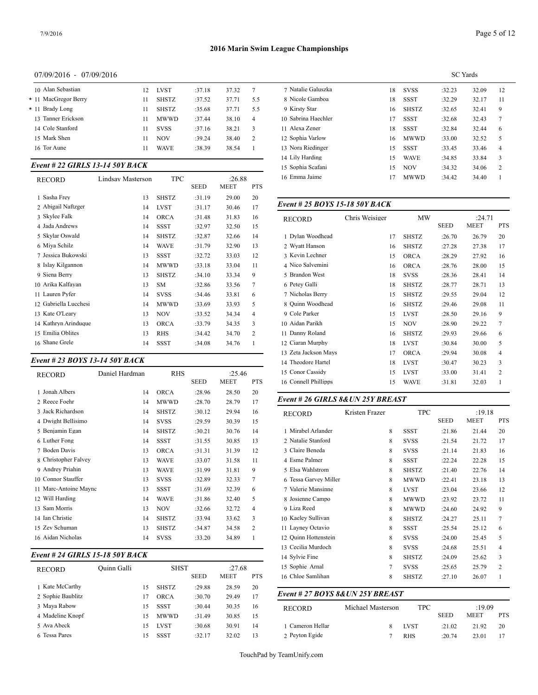#### 07/09/2016 - 07/09/2016

|                 | 10 Alan Sebastian    | 12 | <b>LVST</b>  | :37.18 | 37.32 | 7              | 7 Natalie Gal  |
|-----------------|----------------------|----|--------------|--------|-------|----------------|----------------|
|                 | * 11 MacGregor Berry | 11 | <b>SHSTZ</b> | :37.52 | 37.71 | 5.5            | 8 Nicole Gan   |
| * 11 Brady Long |                      | 11 | <b>SHSTZ</b> | :35.68 | 37.71 | 5.5            | 9 Kirsty Star  |
|                 | 13 Tanner Erickson   | 11 | <b>MWWD</b>  | :37.44 | 38.10 | $\overline{4}$ | 10 Sabrina Hao |
|                 | 14 Cole Stanford     | 11 | <b>SVSS</b>  | :37.16 | 38.21 | 3              | 11 Alexa Zene  |
| 15 Mark Shen    |                      | 11 | <b>NOV</b>   | :39.24 | 38.40 | 2              | 12 Sophia Varl |
| 16 Tor Aune     |                      | 11 | <b>WAVE</b>  | :38.39 | 38.54 |                | 13 Nora Riedin |
|                 |                      |    |              |        |       |                |                |

#### *Event # 22 GIRLS 13-14 50Y BACK*

| <b>RECORD</b>         | Lindsay Masterson | TPC          |        | :26.88      |                | 16 Emma Jaime    |
|-----------------------|-------------------|--------------|--------|-------------|----------------|------------------|
|                       |                   |              | SEED   | <b>MEET</b> | <b>PTS</b>     |                  |
| 1 Sasha Frey          | 13                | <b>SHSTZ</b> | :31.19 | 29.00       | 20             |                  |
| 2 Abigail Naftzger    | 14                | <b>LVST</b>  | :31.17 | 30.46       | 17             | Event # 25 $BOY$ |
| 3 Skylee Falk         | 14                | <b>ORCA</b>  | :31.48 | 31.83       | 16             | <b>RECORD</b>    |
| 4 Jada Andrews        | 14                | <b>SSST</b>  | :32.97 | 32.50       | 15             |                  |
| 5 Skylar Oswald       | 14                | <b>SHSTZ</b> | :32.87 | 32.66       | 14             | 1 Dylan Woodhea  |
| 6 Miya Schilz         | 14                | <b>WAVE</b>  | :31.79 | 32.90       | 13             | 2 Wyatt Hanson   |
| 7 Jessica Bukowski    | 13                | <b>SSST</b>  | :32.72 | 33.03       | 12             | 3 Kevin Lechner  |
| 8 Islay Kilgannon     | 14                | <b>MWWD</b>  | :33.18 | 33.04       | 11             | 4 Nico Salvemini |
| 9 Siena Berry         | 13                | <b>SHSTZ</b> | :34.10 | 33.34       | 9              | 5 Brandon West   |
| 10 Arika Kalfayan     | 13                | <b>SM</b>    | :32.86 | 33.56       | 7              | 6 Petey Galli    |
| 11 Lauren Pyfer       | 14                | <b>SVSS</b>  | :34.46 | 33.81       | 6              | 7 Nicholas Berry |
| 12 Gabriella Lucchesi | 14                | <b>MWWD</b>  | :33.69 | 33.93       | 5              | 8 Quinn Woodhea  |
| 13 Kate O'Leary       | 13                | <b>NOV</b>   | :33.52 | 34.34       | $\overline{4}$ | 9 Cole Parker    |
| 14 Kathryn Arinduque  | 13                | <b>ORCA</b>  | :33.79 | 34.35       | 3              | 10 Aidan Parikh  |
| 15 Emilia Oblites     | 13                | <b>RHS</b>   | :34.42 | 34.70       | 2              | 11 Danny Roland  |
| 16 Shane Grele        | 14                | <b>SSST</b>  | :34.08 | 34.76       | 1              | 12 Ciaran Murphy |

### *Event # 23 BOYS 13-14 50Y BACK*

| <b>RECORD</b>         | Daniel Hardman | <b>RHS</b>   |             | :25.46      |                | 15 Conor Cassidy                  | 15             | <b>LVST</b>  | :33.00      | 31.41       |
|-----------------------|----------------|--------------|-------------|-------------|----------------|-----------------------------------|----------------|--------------|-------------|-------------|
|                       |                |              | <b>SEED</b> | <b>MEET</b> | <b>PTS</b>     | 16 Connell Phillipps              | 15             | <b>WAVE</b>  | :31.81      | 32.03       |
| 1 Jonah Albers        | 14             | <b>ORCA</b>  | :28.96      | 28.50       | 20             |                                   |                |              |             |             |
| 2 Reece Foehr         | 14             | <b>MWWD</b>  | :28.70      | 28.79       | 17             | Event # 26 GIRLS 8& UN 25Y BREAST |                |              |             |             |
| 3 Jack Richardson     | 14             | <b>SHSTZ</b> | :30.12      | 29.94       | 16             | <b>RECORD</b>                     | Kristen Frazer | <b>TPC</b>   |             | :19.18      |
| 4 Dwight Bellisimo    | 14             | <b>SVSS</b>  | :29.59      | 30.39       | 15             |                                   |                |              | <b>SEED</b> | <b>MEET</b> |
| 5 Benjamin Egan       | 14             | <b>SHSTZ</b> | :30.21      | 30.76       | 14             | 1 Mirabel Arlander                | 8              | <b>SSST</b>  | :21.86      | 21.44       |
| 6 Luther Fong         | 14             | SSST         | :31.55      | 30.85       | 13             | 2 Natalie Stanford                | 8              | <b>SVSS</b>  | :21.54      | 21.72       |
| 7 Boden Davis         | 13             | <b>ORCA</b>  | :31.31      | 31.39       | 12             | 3 Claire Beneda                   | 8              | <b>SVSS</b>  | :21.14      | 21.83       |
| 8 Christopher Falvey  | 13             | <b>WAVE</b>  | :33.07      | 31.58       | 11             | 4 Esme Palmer                     | 8              | <b>SSST</b>  | :22.24      | 22.28       |
| 9 Andrey Priahin      | 13             | <b>WAVE</b>  | :31.99      | 31.81       | 9              | 5 Elsa Wahlstrom                  | 8              | <b>SHSTZ</b> | :21.40      | 22.76       |
| 10 Connor Stauffer    | 13             | <b>SVSS</b>  | :32.89      | 32.33       | 7              | 6 Tessa Garvey Miller             | 8              | <b>MWWD</b>  | :22.41      | 23.18       |
| 11 Marc-Antoine Maync | 13             | <b>SSST</b>  | :31.69      | 32.39       | 6              | 7 Valerie Mansinne                | 8              | <b>LVST</b>  | :23.04      | 23.66       |
| 12 Will Harding       | 14             | <b>WAVE</b>  | :31.86      | 32.40       | 5              | 8 Josienne Campo                  | 8              | <b>MWWD</b>  | :23.92      | 23.72       |
| 13 Sam Morris         | 13             | <b>NOV</b>   | :32.66      | 32.72       | 4              | 9 Liza Reed                       | 8              | <b>MWWD</b>  | :24.60      | 24.92       |
| 14 Ian Christie       | 14             | <b>SHSTZ</b> | :33.94      | 33.62       | 3              | 10 Kaeley Sullivan                | 8              | <b>SHSTZ</b> | :24.27      | 25.11       |
| 15 Zev Schuman        | 13             | <b>SHSTZ</b> | :34.87      | 34.58       | $\overline{2}$ | 11 Layney Octavio                 | 8              | <b>SSST</b>  | :25.54      | 25.12       |
| 16 Aidan Nicholas     | 14             | <b>SVSS</b>  | :33.20      | 34.89       |                | 12 Quinn Hottenstein              | 8              | <b>SVSS</b>  | :24.00      | 25.45       |
|                       |                |              |             |             |                |                                   |                |              |             |             |

# *Event # 24 GIRLS 15-18 50Y BACK*

|                   |             |    |              |             |             |            | - - -             |                                  |              |             |             |            |
|-------------------|-------------|----|--------------|-------------|-------------|------------|-------------------|----------------------------------|--------------|-------------|-------------|------------|
| <b>RECORD</b>     | Ouinn Galli |    | <b>SHST</b>  |             | :27.68      |            | 15 Sophie Arnal   |                                  | <b>SVSS</b>  | :25.65      | 25.79       |            |
|                   |             |    |              | <b>SEED</b> | <b>MEET</b> | <b>PTS</b> | 16 Chloe Samlihan | 8                                | <b>SHSTZ</b> | :27.10      | 26.07       |            |
| Kate McCarthy     |             | 15 | <b>SHSTZ</b> | :29.88      | 28.59       | 20         |                   |                                  |              |             |             |            |
| 2 Sophie Baublitz |             | 17 | ORCA         | :30.70      | 29.49       | 17         |                   | Event # 27 BOYS 8& UN 25Y BREAST |              |             |             |            |
| 3 Maya Rabow      |             | 15 | <b>SSST</b>  | :30.44      | 30.35       | 16         | <b>RECORD</b>     | Michael Masterson                | <b>TPC</b>   |             | :19.09      |            |
| 4 Madeline Knopf  |             | 15 | <b>MWWD</b>  | :31.49      | 30.85       | 15         |                   |                                  |              | <b>SEED</b> | <b>MEET</b> | <b>PTS</b> |
| 5 Ava Abeck       |             | 15 | <b>LVST</b>  | :30.68      | 30.91       | 14         | Cameron Hellar    | 8                                | <b>LVST</b>  | :21.02      | 21.92       | 20         |
| 6 Tessa Pares     |             | 15 | <b>SSST</b>  | :32.17      | 32.02       | 13         | 2 Peyton Egide    |                                  | <b>RHS</b>   | :20.74      | 23.01       | 17         |

|                     |    |              |        | <b>SC</b> Yards |                |
|---------------------|----|--------------|--------|-----------------|----------------|
| 7 Natalie Galuszka  | 18 | <b>SVSS</b>  | :32.23 | 32.09           | 12             |
| 8 Nicole Gamboa     | 18 | <b>SSST</b>  | :32.29 | 32.17           | 11             |
| 9 Kirsty Star       | 16 | <b>SHSTZ</b> | :32.65 | 32.41           | 9              |
| 10 Sabrina Haechler | 17 | <b>SSST</b>  | :32.68 | 32.43           | 7              |
| 11 Alexa Zener      | 18 | <b>SSST</b>  | :32.84 | 32.44           | 6              |
| 12 Sophia Varlow    | 16 | <b>MWWD</b>  | :33.00 | 32.52           | 5              |
| 13 Nora Riedinger   | 15 | SSST         | :33.45 | 33.46           | $\overline{4}$ |
| 14 Lily Harding     | 15 | <b>WAVE</b>  | :34.85 | 33.84           | 3              |
| 15 Sophia Scafani   | 15 | <b>NOV</b>   | :34.32 | 34.06           | $\overline{c}$ |
| 16 Emma Jaime       | 17 | <b>MWWD</b>  | :34.42 | 34.40           | 1              |
|                     |    |              |        |                 |                |

# *Event # 25 BOYS 15-18 50Y BACK*

| <b>RECORD</b>        | Chris Weisiger | <b>MW</b>    |             | :24.71      |                |
|----------------------|----------------|--------------|-------------|-------------|----------------|
|                      |                |              | <b>SEED</b> | <b>MEET</b> | <b>PTS</b>     |
| 1 Dylan Woodhead     | 17             | <b>SHSTZ</b> | :26.70      | 26.79       | 20             |
| 2 Wyatt Hanson       | 16             | <b>SHSTZ</b> | :27.28      | 27.38       | 17             |
| 3 Kevin Lechner      | 15             | <b>ORCA</b>  | :28.29      | 27.92       | 16             |
| 4 Nico Salvemini     | 16             | <b>ORCA</b>  | :28.76      | 28.00       | 15             |
| 5 Brandon West       | 18             | <b>SVSS</b>  | :28.36      | 28.41       | 14             |
| 6 Petey Galli        | 18             | <b>SHSTZ</b> | :28.77      | 28.71       | 13             |
| 7 Nicholas Berry     | 15             | <b>SHSTZ</b> | :29.55      | 29.04       | 12             |
| 8 Ouinn Woodhead     | 16             | <b>SHSTZ</b> | :29.46      | 29.08       | 11             |
| 9 Cole Parker        | 15             | <b>LVST</b>  | :28.50      | 29.16       | 9              |
| 10 Aidan Parikh      | 15             | <b>NOV</b>   | :28.90      | 29.22       | $\tau$         |
| 11 Danny Roland      | 16             | <b>SHSTZ</b> | :29.93      | 29.66       | 6              |
| 12 Ciaran Murphy     | 18             | <b>LVST</b>  | :30.84      | 30.00       | 5              |
| 13 Zeta Jackson Mays | 17             | <b>ORCA</b>  | :29.94      | 30.08       | $\overline{4}$ |
| 14 Theodore Hartel   | 18             | <b>LVST</b>  | :30.47      | 30.23       | 3              |
| 15 Conor Cassidy     | 15             | <b>LVST</b>  | :33.00      | 31.41       | 2              |
| 16 Connell Phillipps | 15             | <b>WAVE</b>  | :31.81      | 32.03       | 1              |
|                      |                |              |             |             |                |

| RECORD                          | Kristen Frazer    | <b>TPC</b>   |             | :19.18      |                |
|---------------------------------|-------------------|--------------|-------------|-------------|----------------|
|                                 |                   |              | <b>SEED</b> | <b>MEET</b> | <b>PTS</b>     |
| 1 Mirabel Arlander              | 8                 | <b>SSST</b>  | :21.86      | 21.44       | 20             |
| 2 Natalie Stanford              | 8                 | <b>SVSS</b>  | :21.54      | 21.72       | 17             |
| 3 Claire Beneda                 | 8                 | <b>SVSS</b>  | : 21.14     | 21.83       | 16             |
| 4 Esme Palmer                   | 8                 | <b>SSST</b>  | :22.24      | 22.28       | 15             |
| 5 Elsa Wahlstrom                | 8                 | <b>SHSTZ</b> | :21.40      | 22.76       | 14             |
| 6 Tessa Garvey Miller           | 8                 | <b>MWWD</b>  | :22.41      | 23.18       | 13             |
| 7 Valerie Mansinne              | 8                 | <b>LVST</b>  | :23.04      | 23.66       | 12             |
| 8 Josienne Campo                | 8                 | <b>MWWD</b>  | :23.92      | 23.72       | 11             |
| 9 Liza Reed                     | 8                 | <b>MWWD</b>  | :24.60      | 24.92       | 9              |
| 10 Kaeley Sullivan              | 8                 | <b>SHSTZ</b> | :24.27      | 25.11       | 7              |
| 11 Layney Octavio               | 8                 | <b>SSST</b>  | :25.54      | 25.12       | 6              |
| 12 Ouinn Hottenstein            | 8                 | <b>SVSS</b>  | :24.00      | 25.45       | 5              |
| 13 Cecilia Murdoch              | 8                 | <b>SVSS</b>  | :24.68      | 25.51       | $\overline{4}$ |
| 14 Sylvie Fine                  | 8                 | <b>SHSTZ</b> | :24.09      | 25.62       | 3              |
| 15 Sophie Arnal                 | 7                 | <b>SVSS</b>  | :25.65      | 25.79       | 2              |
| 16 Chloe Samlihan               | 8                 | <b>SHSTZ</b> | :27.10      | 26.07       | 1              |
| Event # 27 BOYS 8&UN 25Y BREAST |                   |              |             |             |                |
| <b>RECORD</b>                   | Michael Masterson | <b>TPC</b>   |             | :19.09      |                |
|                                 |                   |              | <b>SEED</b> | <b>MEET</b> | <b>PTS</b>     |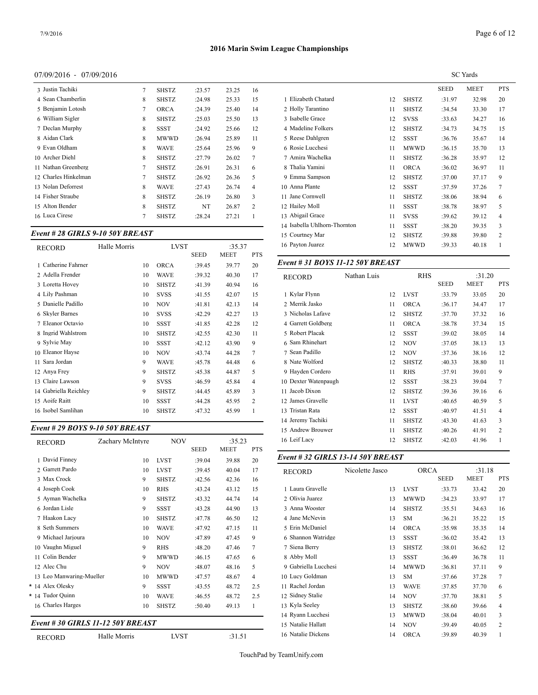# 07/09/2016 - 07/09/2016

| 3 Justin Tachiki     | 7 | <b>SHSTZ</b> | :23.57 | 23.25 | 16             |                |
|----------------------|---|--------------|--------|-------|----------------|----------------|
| 4 Sean Chamberlin    | 8 | <b>SHSTZ</b> | :24.98 | 25.33 | 15             | 1 Elizabeth C  |
| 5 Benjamin Lotosh    | 7 | <b>ORCA</b>  | :24.39 | 25.40 | 14             | 2 Holly Tarai  |
| 6 William Sigler     | 8 | <b>SHSTZ</b> | :25.03 | 25.50 | 13             | 3 Isabelle Gr  |
| 7 Declan Murphy      | 8 | SSST         | :24.92 | 25.66 | 12             | 4 Madeline F   |
| 8 Aidan Clark        | 8 | <b>MWWD</b>  | :26.94 | 25.89 | 11             | 5 Reese Dahl   |
| 9 Evan Oldham        | 8 | <b>WAVE</b>  | :25.64 | 25.96 | 9              | 6 Rosie Lucc   |
| 10 Archer Diehl      | 8 | <b>SHSTZ</b> | :27.79 | 26.02 | 7              | 7 Amira Wac    |
| 11 Nathan Greenberg  | 7 | <b>SHSTZ</b> | :26.91 | 26.31 | 6              | 8 Thalia Yam   |
| 12 Charles Hinkelman | 7 | <b>SHSTZ</b> | :26.92 | 26.36 | 5              | 9 Emma San     |
| 13 Nolan Deforrest   | 8 | <b>WAVE</b>  | :27.43 | 26.74 | $\overline{4}$ | 10 Anna Plant  |
| 14 Fisher Straube    | 8 | <b>SHSTZ</b> | :26.19 | 26.80 | 3              | 11 Jane Corny  |
| 15 Alton Bender      | 8 | <b>SHSTZ</b> | NT     | 26.87 | $\overline{c}$ | 12 Hailey Mo!  |
| 16 Luca Cirese       | 7 | <b>SHSTZ</b> | :28.24 | 27.21 | 1              | 13 Abigail Gra |
|                      |   |              |        |       |                |                |

#### *Event # 28 GIRLS 9-10 50Y BREAST*

| <b>RECORD</b>         | Halle Morris |    | <b>LVST</b>  |             | :35.37      |                | 16 Payton Juarez       |
|-----------------------|--------------|----|--------------|-------------|-------------|----------------|------------------------|
|                       |              |    |              | <b>SEED</b> | <b>MEET</b> | <b>PTS</b>     |                        |
| 1 Catherine Fahrner   |              | 10 | <b>ORCA</b>  | :39.45      | 39.77       | 20             | Event # 31 <b>BO</b> Y |
| 2 Adella Frender      |              | 10 | <b>WAVE</b>  | :39.32      | 40.30       | 17             | <b>RECORD</b>          |
| 3 Loretta Hovey       |              | 10 | <b>SHSTZ</b> | :41.39      | 40.94       | 16             |                        |
| 4 Lily Pashman        |              | 10 | <b>SVSS</b>  | :41.55      | 42.07       | 15             | 1 Kylar Flynn          |
| 5 Danielle Padillo    |              | 10 | <b>NOV</b>   | :41.81      | 42.13       | 14             | 2 Merrik Jasko         |
| 6 Skyler Barnes       |              | 10 | <b>SVSS</b>  | :42.29      | 42.27       | 13             | 3 Nicholas Lafav       |
| 7 Eleanor Octavio     |              | 10 | <b>SSST</b>  | :41.85      | 42.28       | 12             | 4 Garrett Goldbei      |
| 8 Ingrid Wahlstrom    |              | 10 | <b>SHSTZ</b> | :42.55      | 42.30       | 11             | 5 Robert Placak        |
| 9 Sylvie May          |              | 10 | <b>SSST</b>  | :42.12      | 43.90       | 9              | 6 Sam Rhinehart        |
| 10 Eleanor Hayse      |              | 10 | <b>NOV</b>   | :43.74      | 44.28       | 7              | 7 Sean Padillo         |
| Sara Jordan<br>11     |              | 9  | <b>WAVE</b>  | :45.78      | 44.48       | 6              | 8 Nate Wolford         |
| 12 Anya Frey          |              | 9  | SHSTZ        | :45.38      | 44.87       | 5              | 9 Hayden Corder        |
| 13 Claire Lawson      |              | 9  | <b>SVSS</b>  | :46.59      | 45.84       | $\overline{4}$ | 10 Dexter Watenpa      |
| 14 Gabriella Reichley |              | 9  | <b>SHSTZ</b> | :44.45      | 45.89       | 3              | 11 Jacob Dixon         |
| 15 Aoife Raitt        |              | 10 | <b>SSST</b>  | :44.28      | 45.95       | $\overline{c}$ | 12 James Gravelle      |
| 16 Isobel Samlihan    |              | 10 | <b>SHSTZ</b> | :47.32      | 45.99       | 1              | 13 Tristan Rata        |

#### *Event # 29 BOYS 9-10 50Y BREAST*

| <b>RECORD</b>                    | Zachary McIntyre | <b>NOV</b>   | <b>SEED</b> | :35.23<br><b>MEET</b> | <b>PTS</b> | 16 Leif Lacy                      | 12              | <b>SHSTZ</b> | :42.03      | 41.96       |
|----------------------------------|------------------|--------------|-------------|-----------------------|------------|-----------------------------------|-----------------|--------------|-------------|-------------|
| 1 David Finney                   | 10               | <b>LVST</b>  | :39.04      | 39.88                 | 20         | Event # 32 GIRLS 13-14 50Y BREAST |                 |              |             |             |
| 2 Garrett Pardo                  | 10               | <b>LVST</b>  | :39.45      | 40.04                 | 17         | <b>RECORD</b>                     | Nicolette Jasco | <b>ORCA</b>  |             | :31.18      |
| 3 Max Crock                      | 9                | <b>SHSTZ</b> | :42.56      | 42.36                 | 16         |                                   |                 |              | <b>SEED</b> | <b>MEET</b> |
| 4 Joseph Cook                    | 10               | <b>RHS</b>   | :43.24      | 43.12                 | 15         | 1 Laura Gravelle                  | 13              | <b>LVST</b>  | :33.73      | 33.42       |
| 5 Ayman Wachelka                 | 9                | <b>SHSTZ</b> | :43.32      | 44.74                 | 14         | 2 Olivia Juarez                   | 13              | <b>MWWD</b>  | :34.23      | 33.97       |
| 6 Jordan Lisle                   | 9                | <b>SSST</b>  | :43.28      | 44.90                 | 13         | 3 Anna Wooster                    | 14              | <b>SHSTZ</b> | :35.51      | 34.63       |
| 7 Haakon Lacy                    | 10               | <b>SHSTZ</b> | :47.78      | 46.50                 | 12         | 4 Jane McNevin                    | 13              | <b>SM</b>    | :36.21      | 35.22       |
| 8 Seth Summers                   | 10               | <b>WAVE</b>  | :47.92      | 47.15                 | 11         | 5 Erin McDaniel                   | 14              | <b>ORCA</b>  | :35.98      | 35.35       |
| 9 Michael Jarjoura               | 10               | <b>NOV</b>   | :47.89      | 47.45                 | 9          | 6 Shannon Watridge                | 13              | <b>SSST</b>  | :36.02      | 35.42       |
| 10 Vaughn Miguel                 | 9                | <b>RHS</b>   | :48.20      | 47.46                 | 7          | 7 Siena Berry                     | 13              | <b>SHSTZ</b> | :38.01      | 36.62       |
| 11 Colin Bender                  | 9                | <b>MWWD</b>  | :46.15      | 47.65                 | 6          | 8 Abby Moll                       | 13              | <b>SSST</b>  | :36.49      | 36.78       |
| 12 Alec Chu                      | 9                | <b>NOV</b>   | :48.07      | 48.16                 | 5          | 9 Gabriella Lucchesi              | 14              | <b>MWWD</b>  | :36.81      | 37.11       |
| 13 Leo Manwaring-Mueller         | 10               | <b>MWWD</b>  | :47.57      | 48.67                 | 4          | 10 Lucy Goldman                   | 13              | <b>SM</b>    | :37.66      | 37.28       |
| * 14 Alex Olesky                 | 9                | <b>SSST</b>  | :43.55      | 48.72                 | 2.5        | 11 Rachel Jordan                  | 13              | <b>WAVE</b>  | :37.85      | 37.70       |
| * 14 Tudor Quinn                 | 10               | <b>WAVE</b>  | :46.55      | 48.72                 | 2.5        | 12 Sidney Stalie                  | 14              | <b>NOV</b>   | :37.70      | 38.81       |
| 16 Charles Harges                | 10               | <b>SHSTZ</b> | :50.40      | 49.13                 |            | 13 Kyla Seeley                    | 13              | <b>SHSTZ</b> | :38.60      | 39.66       |
|                                  |                  |              |             |                       |            | 14 Ryann Lucchesi                 | 13              | <b>MWWD</b>  | :38.04      | 40.01       |
| Event #30 GIRLS 11-12 50Y BREAST |                  |              |             |                       |            | 15 Natalie Hallatt                | 14              | <b>NOV</b>   | :39.49      | 40.05       |

# RECORD Halle Morris LVST :31.51

|                              |    |              |             | <b>SC</b> Yards |                |
|------------------------------|----|--------------|-------------|-----------------|----------------|
|                              |    |              | <b>SEED</b> | <b>MEET</b>     | <b>PTS</b>     |
| 1 Elizabeth Chatard          | 12 | <b>SHSTZ</b> | :31.97      | 32.98           | 20             |
| 2 Holly Tarantino            | 11 | <b>SHSTZ</b> | :34.54      | 33.30           | 17             |
| 3 Isabelle Grace             | 12 | <b>SVSS</b>  | :33.63      | 34.27           | 16             |
| 4 Madeline Folkers           | 12 | <b>SHSTZ</b> | :34.73      | 34.75           | 15             |
| 5 Reese Dahlgren             | 12 | <b>SSST</b>  | :36.76      | 35.67           | 14             |
| 6 Rosie Lucchesi             | 11 | <b>MWWD</b>  | :36.15      | 35.70           | 13             |
| 7 Amira Wachelka             | 11 | <b>SHSTZ</b> | :36.28      | 35.97           | 12             |
| 8 Thalia Yamini              | 11 | <b>ORCA</b>  | :36.02      | 36.97           | 11             |
| 9 Emma Sampson               | 12 | <b>SHSTZ</b> | :37.00      | 37.17           | 9              |
| 10 Anna Plante               | 12 | <b>SSST</b>  | :37.59      | 37.26           | $\overline{7}$ |
| 11 Jane Cornwell             | 11 | <b>SHSTZ</b> | :38.06      | 38.94           | 6              |
| 12 Hailey Moll               | 11 | <b>SSST</b>  | :38.78      | 38.97           | 5              |
| 13 Abigail Grace             | 11 | <b>SVSS</b>  | :39.62      | 39.12           | 4              |
| 14 Isabella Uhlhorn-Thornton | 11 | <b>SSST</b>  | :38.20      | 39.35           | 3              |
| 15 Courtney Mar              | 12 | <b>SHSTZ</b> | :39.88      | 39.80           | 2              |
| 16 Payton Juarez             | 12 | MWWD         | :39.33      | 40.18           | 1              |
|                              |    |              |             |                 |                |

# *Event # 31 BOYS 11-12 50Y BREAST*

| RECORD               | Nathan Luis |    | <b>RHS</b>   |             | :31.20      |                |
|----------------------|-------------|----|--------------|-------------|-------------|----------------|
|                      |             |    |              | <b>SEED</b> | <b>MEET</b> | <b>PTS</b>     |
| 1 Kylar Flynn        |             | 12 | <b>LVST</b>  | :33.79      | 33.05       | 20             |
| 2 Merrik Jasko       |             | 11 | <b>ORCA</b>  | :36.17      | 34.47       | 17             |
| 3 Nicholas Lafave    |             | 12 | <b>SHSTZ</b> | :37.70      | 37.32       | 16             |
| 4 Garrett Goldberg   |             | 11 | <b>ORCA</b>  | :38.78      | 37.34       | 15             |
| 5 Robert Placak      |             | 12 | <b>SSST</b>  | :39.02      | 38.05       | 14             |
| 6 Sam Rhinehart      |             | 12 | NOV          | :37.05      | 38.13       | 13             |
| 7 Sean Padillo       |             | 12 | <b>NOV</b>   | :37.36      | 38.16       | 12             |
| 8 Nate Wolford       |             | 12 | <b>SHSTZ</b> | :40.33      | 38.80       | 11             |
| 9 Hayden Cordero     |             | 11 | <b>RHS</b>   | :37.91      | 39.01       | 9              |
| 10 Dexter Watenpaugh |             | 12 | <b>SSST</b>  | :38.23      | 39.04       | 7              |
| 11 Jacob Dixon       |             | 12 | <b>SHSTZ</b> | :39.36      | 39.16       | 6              |
| 12 James Gravelle    |             | 11 | <b>LVST</b>  | :40.65      | 40.59       | 5              |
| 13 Tristan Rata      |             | 12 | <b>SSST</b>  | :40.97      | 41.51       | $\overline{4}$ |
| 14 Jeremy Tachiki    |             | 11 | <b>SHSTZ</b> | :43.30      | 41.63       | 3              |
| 15 Andrew Brouwer    |             | 11 | <b>SHSTZ</b> | :40.26      | 41.91       | $\overline{c}$ |
| 16 Leif Lacy         |             | 12 | <b>SHSTZ</b> | :42.03      | 41.96       | 1              |
|                      |             |    |              |             |             |                |

| RECORD               | Nicolette Jasco | <b>ORCA</b>  |        | :31.18 |            |
|----------------------|-----------------|--------------|--------|--------|------------|
|                      |                 |              | SEED   | MEET   | <b>PTS</b> |
| 1 Laura Gravelle     | 13              | <b>LVST</b>  | :33.73 | 33.42  | 20         |
| 2 Olivia Juarez      | 13              | MWWD         | :34.23 | 33.97  | 17         |
| 3 Anna Wooster       | 14              | <b>SHSTZ</b> | :35.51 | 34.63  | 16         |
| 4 Jane McNevin       | 13              | <b>SM</b>    | :36.21 | 35.22  | 15         |
| 5 Erin McDaniel      | 14              | <b>ORCA</b>  | :35.98 | 35.35  | 14         |
| 6 Shannon Watridge   | 13              | <b>SSST</b>  | :36.02 | 35.42  | 13         |
| 7 Siena Berry        | 13              | <b>SHSTZ</b> | :38.01 | 36.62  | 12         |
| 8 Abby Moll          | 13              | <b>SSST</b>  | :36.49 | 36.78  | 11         |
| 9 Gabriella Lucchesi | 14              | MWWD         | :36.81 | 37.11  | 9          |
| 10 Lucy Goldman      | 13              | <b>SM</b>    | :37.66 | 37.28  | 7          |
| 11 Rachel Jordan     | 13              | <b>WAVE</b>  | :37.85 | 37.70  | 6          |
| 12 Sidney Stalie     | 14              | <b>NOV</b>   | :37.70 | 38.81  | 5          |
| 13 Kyla Seeley       | 13              | <b>SHSTZ</b> | :38.60 | 39.66  | 4          |
| 14 Ryann Lucchesi    | 13              | MWWD         | :38.04 | 40.01  | 3          |
| 15 Natalie Hallatt   | 14              | <b>NOV</b>   | :39.49 | 40.05  | 2          |
| 16 Natalie Dickens   | 14              | <b>ORCA</b>  | :39.89 | 40.39  | 1          |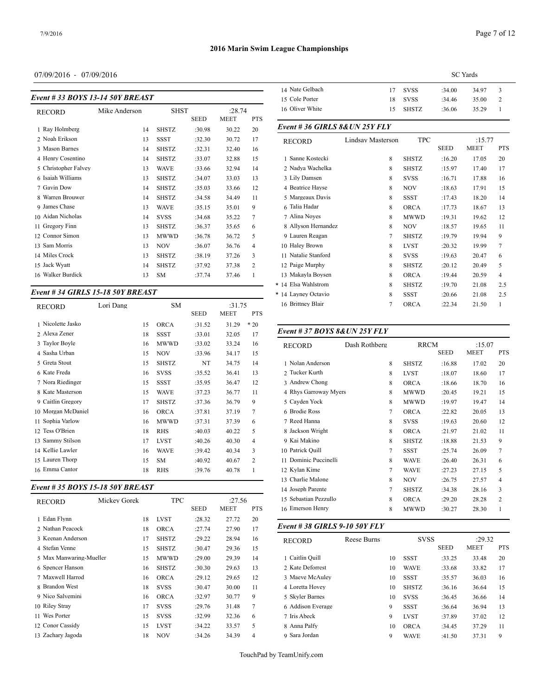# 07/09/2016 - 07/09/2016

| Event #33 BOYS 13-14 50Y BREAST | 14 INAIL OCHREIL<br>15 Cole Porter |              |             |             |                |                    |
|---------------------------------|------------------------------------|--------------|-------------|-------------|----------------|--------------------|
| RECORD                          | Mike Anderson                      | SHST         |             | :28.74      |                | 16 Oliver White    |
|                                 |                                    |              | <b>SEED</b> | <b>MEET</b> | <b>PTS</b>     |                    |
| 1 Ray Holmberg                  | 14                                 | <b>SHSTZ</b> | :30.98      | 30.22       | 20             | Event # 36 GIR     |
| 2 Noah Erikson                  | 13                                 | <b>SSST</b>  | :32.30      | 30.72       | 17             | <b>RECORD</b>      |
| 3 Mason Barnes                  | 14                                 | <b>SHSTZ</b> | :32.31      | 32.40       | 16             |                    |
| 4 Henry Cosentino               | 14                                 | <b>SHSTZ</b> | :33.07      | 32.88       | 15             | 1 Sanne Kostecki   |
| 5 Christopher Falvey            | 13                                 | <b>WAVE</b>  | :33.66      | 32.94       | 14             | 2 Nadya Wachelk    |
| 6 Isaiah Williams               | 13                                 | <b>SHSTZ</b> | :34.07      | 33.03       | 13             | 3 Lily Damsen      |
| 7 Gavin Dow                     | 14                                 | <b>SHSTZ</b> | :35.03      | 33.66       | 12             | 4 Beatrice Hayse   |
| 8 Warren Brouwer                | 14                                 | <b>SHSTZ</b> | :34.58      | 34.49       | 11             | 5 Margeaux Davi    |
| 9 James Chase                   | 13                                 | <b>WAVE</b>  | :35.15      | 35.01       | 9              | 6 Talia Hadar      |
| 10 Aidan Nicholas               | 14                                 | <b>SVSS</b>  | :34.68      | 35.22       | 7              | 7 Alina Noyes      |
| 11 Gregory Finn                 | 13                                 | <b>SHSTZ</b> | :36.37      | 35.65       | 6              | 8 Allyson Hernar   |
| 12 Connor Simon                 | 13                                 | <b>MWWD</b>  | :36.78      | 36.72       | 5              | 9 Lauren Reagan    |
| Sam Morris<br>13                | 13                                 | <b>NOV</b>   | :36.07      | 36.76       | $\overline{4}$ | 10 Haley Brown     |
| 14 Miles Crock                  | 13                                 | <b>SHSTZ</b> | :38.19      | 37.26       | 3              | 11 Natalie Stanfor |
| Jack Wyatt<br>15                | 14                                 | <b>SHSTZ</b> | :37.92      | 37.38       | $\overline{c}$ | 12 Paige Murphy    |
| Walker Burdick<br>16            | 13                                 | <b>SM</b>    | :37.74      | 37.46       | 1              | 13 Makayla Boyse   |
|                                 |                                    |              |             |             |                |                    |

# *Event # 34 GIRLS 15-18 50Y BREAST*

| <b>RECORD</b>      | Lori Dang | <b>SM</b> |              | :31.75      |             | 16 Brittney Blair | 7                                        | <b>ORCA</b>   | :22.34       | 21          |            |
|--------------------|-----------|-----------|--------------|-------------|-------------|-------------------|------------------------------------------|---------------|--------------|-------------|------------|
|                    |           |           |              | <b>SEED</b> | <b>MEET</b> | <b>PTS</b>        |                                          |               |              |             |            |
| 1 Nicolette Jasko  |           | 15        | <b>ORCA</b>  | :31.52      | 31.29       | $*20$             |                                          |               |              |             |            |
| 2 Alexa Zener      |           | 18        | <b>SSST</b>  | :33.01      | 32.05       | 17                | <i>Event # 37 BOYS 8&amp; UN 25Y FLY</i> |               |              |             |            |
| 3 Taylor Boyle     |           | 16        | <b>MWWD</b>  | :33.02      | 33.24       | 16                | <b>RECORD</b>                            | Dash Rothberg | <b>RRCM</b>  |             |            |
| 4 Sasha Urban      |           | 15        | <b>NOV</b>   | :33.96      | 34.17       | 15                |                                          |               |              | <b>SEED</b> | <b>MEI</b> |
| 5 Greta Stout      |           | 15        | <b>SHSTZ</b> | NT          | 34.75       | 14                | 1 Nolan Anderson                         | 8             | <b>SHSTZ</b> | :16.88      | 17         |
| 6 Kate Freda       |           | 16        | <b>SVSS</b>  | :35.52      | 36.41       | 13                | 2 Tucker Kurth                           | 8             | <b>LVST</b>  | :18.07      | 18         |
| 7 Nora Riedinger   |           | 15        | <b>SSST</b>  | :35.95      | 36.47       | 12                | 3 Andrew Chong                           | 8             | <b>ORCA</b>  | :18.66      | 18         |
| 8 Kate Masterson   |           | 15        | <b>WAVE</b>  | :37.23      | 36.77       | 11                | 4 Rhys Garroway Myers                    | 8             | <b>MWWD</b>  | :20.45      | 19         |
| 9 Caitlin Gregory  |           | 17        | <b>SHSTZ</b> | :37.36      | 36.79       | 9                 | 5 Cayden Yock                            | 8             | <b>MWWD</b>  | :19.97      | 19         |
| 10 Morgan McDaniel |           | 16        | <b>ORCA</b>  | :37.81      | 37.19       |                   | 6 Brodie Ross                            | 7             | <b>ORCA</b>  | :22.82      | 20         |
| 11 Sophia Varlow   |           | 16        | <b>MWWD</b>  | :37.31      | 37.39       | 6                 | 7 Reed Hanna                             | 8             | <b>SVSS</b>  | :19.63      | 20         |
| 12 Tess O'Brien    |           | 18        | <b>RHS</b>   | :40.03      | 40.22       | 5                 | 8 Jackson Wright                         | 8             | <b>ORCA</b>  | :21.97      | 21         |
| 13 Sammy Stilson   |           | 17        | <b>LVST</b>  | :40.26      | 40.30       | 4                 | 9 Kai Makino                             | 8             | <b>SHSTZ</b> | :18.88      | 21         |
| 14 Kellie Lawler   |           | 16        | <b>WAVE</b>  | :39.42      | 40.34       | 3                 | 10 Patrick Quill                         | 7             | <b>SSST</b>  | :25.74      | 26         |
| 15 Lauren Thorp    |           | 15        | <b>SM</b>    | :40.92      | 40.67       | 2                 | 11 Dominic Puccinelli                    | 8             | <b>WAVE</b>  | :26.40      | 26         |
| 16 Emma Cantor     |           | 18        | <b>RHS</b>   | :39.76      | 40.78       |                   | 12 Kylan Kime                            |               | <b>WAVE</b>  | :27.23      | 27         |

#### *Event # 35 BOYS 15-18 50Y BREAST*

| <b>RECORD</b>           | Mickey Gorek |    | <b>TPC</b>   |             | :27.56      |            | 15 Sebastian Pezzullo         |             |    | <b>ORCA</b>  | :29.20      |    |
|-------------------------|--------------|----|--------------|-------------|-------------|------------|-------------------------------|-------------|----|--------------|-------------|----|
|                         |              |    |              | <b>SEED</b> | <b>MEET</b> | <b>PTS</b> | 16 Emerson Henry              |             | 8  | <b>MWWD</b>  | :30.27      |    |
| 1 Edan Flynn            |              | 18 | <b>LVST</b>  | :28.32      | 27.72       | 20         |                               |             |    |              |             |    |
| 2. Nathan Peacock       |              | 18 | <b>ORCA</b>  | :27.74      | 27.90       | 17         | Event # 38 GIRLS 9-10 50Y FLY |             |    |              |             |    |
| 3 Keenan Anderson       |              | 17 | <b>SHSTZ</b> | :29.22      | 28.94       | 16         | <b>RECORD</b>                 | Reese Burns |    | <b>SVSS</b>  |             |    |
| 4 Stefan Venne          |              | 15 | <b>SHSTZ</b> | :30.47      | 29.36       | 15         |                               |             |    |              | <b>SEED</b> | MF |
| 5 Max Manwaring-Mueller |              | 15 | <b>MWWD</b>  | :29.00      | 29.39       | 14         | 1 Caitlin Ouill               |             | 10 | <b>SSST</b>  | :33.25      |    |
| 6 Spencer Hanson        |              | 16 | <b>SHSTZ</b> | :30.30      | 29.63       | 13         | 2 Kate Deforrest              |             | 10 | <b>WAVE</b>  | :33.68      |    |
| 7 Maxwell Harrod        |              | 16 | <b>ORCA</b>  | :29.12      | 29.65       | 12         | 3 Maeve McAuley               |             | 10 | <b>SSST</b>  | :35.57      |    |
| 8 Brandon West          |              | 18 | <b>SVSS</b>  | :30.47      | 30.00       | 11         | 4 Loretta Hovey               |             | 10 | <b>SHSTZ</b> | :36.16      |    |
| 9 Nico Salvemini        |              | 16 | <b>ORCA</b>  | :32.97      | 30.77       | 9          | 5 Skyler Barnes               |             | 10 | <b>SVSS</b>  | :36.45      |    |
| 10 Riley Stray          |              | 17 | <b>SVSS</b>  | :29.76      | 31.48       |            | 6 Addison Everage             |             | 9  | <b>SSST</b>  | :36.64      |    |
| 11 Wes Porter           |              | 15 | <b>SVSS</b>  | :32.99      | 32.36       | 6          | 7 Iris Abeck                  |             | 9  | <b>LVST</b>  | :37.89      |    |
| 12 Conor Cassidy        |              | 15 | <b>LVST</b>  | :34.22      | 33.57       | 5          | 8 Anna Palfy                  |             | 10 | <b>ORCA</b>  | :34.45      |    |
| 13 Zachary Jagoda       |              | 18 | <b>NOV</b>   | :34.26      | 34.39       | 4          | 9 Sara Jordan                 |             | 9  | <b>WAVE</b>  | :41.50      |    |

|                 | SC Yards |              |        |       |               |  |  |  |
|-----------------|----------|--------------|--------|-------|---------------|--|--|--|
| 14 Nate Gelbach | 17       | SVSS         | :34.00 | 34.97 | $\mathcal{R}$ |  |  |  |
| 15 Cole Porter  |          | 18 SVSS      | :34.46 | 35.00 | 2             |  |  |  |
| 16 Oliver White | 15       | <b>SHSTZ</b> | :36.06 | 35.29 |               |  |  |  |

#### *Event # 36 GIRLS 8&UN 25Y FLY*

| <b>RECORD</b>       | Lindsay Masterson | <b>TPC</b>   |        | :15.77 |                |
|---------------------|-------------------|--------------|--------|--------|----------------|
|                     |                   |              | SEED   | MEET   | <b>PTS</b>     |
| 1 Sanne Kostecki    | 8                 | <b>SHSTZ</b> | :16.20 | 17.05  | 20             |
| 2 Nadya Wachelka    | 8                 | <b>SHSTZ</b> | :15.97 | 17.40  | 17             |
| 3 Lily Damsen       | 8                 | <b>SVSS</b>  | :16.71 | 17.88  | 16             |
| 4 Beatrice Hayse    | 8                 | <b>NOV</b>   | :18.63 | 17.91  | 15             |
| 5 Margeaux Davis    | 8                 | <b>SSST</b>  | :17.43 | 18.20  | 14             |
| 6 Talia Hadar       | 8                 | <b>ORCA</b>  | :17.73 | 18.67  | 13             |
| 7 Alina Noyes       | 8                 | <b>MWWD</b>  | :19.31 | 19.62  | 12             |
| 8 Allyson Hernandez | 8                 | <b>NOV</b>   | :18.57 | 19.65  | 11             |
| 9 Lauren Reagan     | 7                 | <b>SHSTZ</b> | :19.79 | 19.94  | 9              |
| 10 Haley Brown      | 8                 | <b>LVST</b>  | :20.32 | 19.99  | $\tau$         |
| 11 Natalie Stanford | 8                 | <b>SVSS</b>  | :19.63 | 20.47  | 6              |
| 12 Paige Murphy     | 8                 | <b>SHSTZ</b> | :20.12 | 20.49  | 5              |
| 13 Makayla Boysen   | 8                 | <b>ORCA</b>  | :19.44 | 20.59  | $\overline{4}$ |
| * 14 Elsa Wahlstrom | 8                 | <b>SHSTZ</b> | :19.70 | 21.08  | 2.5            |
| * 14 Layney Octavio | 8                 | <b>SSST</b>  | :20.66 | 21.08  | 2.5            |
| 16 Brittney Blair   | 7                 | <b>ORCA</b>  | :22.34 | 21.50  | 1              |
|                     |                   |              |        |        |                |

| <b>RECORD</b>         | Dash Rothberg | <b>RRCM</b>  |             | :15.07      |                |
|-----------------------|---------------|--------------|-------------|-------------|----------------|
|                       |               |              | <b>SEED</b> | <b>MEET</b> | <b>PTS</b>     |
| 1 Nolan Anderson      | 8             | <b>SHSTZ</b> | :16.88      | 17.02       | 20             |
| 2 Tucker Kurth        | 8             | <b>LVST</b>  | :18.07      | 18.60       | 17             |
| 3 Andrew Chong        | 8             | <b>ORCA</b>  | :18.66      | 18.70       | 16             |
| 4 Rhys Garroway Myers | 8             | <b>MWWD</b>  | :20.45      | 19.21       | 15             |
| 5 Cayden Yock         | 8             | <b>MWWD</b>  | :19.97      | 19.47       | 14             |
| 6 Brodie Ross         | 7             | <b>ORCA</b>  | :22.82      | 20.05       | 13             |
| 7 Reed Hanna          | 8             | <b>SVSS</b>  | :19.63      | 20.60       | 12             |
| 8 Jackson Wright      | 8             | <b>ORCA</b>  | :21.97      | 21.02       | 11             |
| 9 Kai Makino          | 8             | <b>SHSTZ</b> | :18.88      | 21.53       | 9              |
| 10 Patrick Quill      | 7             | <b>SSST</b>  | :25.74      | 26.09       | $\overline{7}$ |
| 11 Dominic Puccinelli | 8             | <b>WAVE</b>  | :26.40      | 26.31       | 6              |
| 12 Kylan Kime         | 7             | <b>WAVE</b>  | :27.23      | 27.15       | 5              |
| 13 Charlie Malone     | 8             | <b>NOV</b>   | :26.75      | 27.57       | $\overline{4}$ |
| 14 Joseph Parente     | 7             | <b>SHSTZ</b> | :34.38      | 28.16       | 3              |
| 15 Sebastian Pezzullo | 8             | <b>ORCA</b>  | :29.20      | 28.28       | $\overline{c}$ |
| 16 Emerson Henry      | 8             | MWWD         | :30.27      | 28.30       | 1              |
|                       |               |              |             |             |                |

| <b>RECORD</b>     | Reese Burns |    | <b>SVSS</b>  |             | :29.32      |            |  |
|-------------------|-------------|----|--------------|-------------|-------------|------------|--|
|                   |             |    |              | <b>SEED</b> | <b>MEET</b> | <b>PTS</b> |  |
| 1 Caitlin Ouill   |             | 10 | <b>SSST</b>  | :33.25      | 33.48       | 20         |  |
| 2 Kate Deforrest  |             | 10 | <b>WAVE</b>  | :33.68      | 33.82       | 17         |  |
| 3 Maeve McAulev   |             | 10 | <b>SSST</b>  | :35.57      | 36.03       | 16         |  |
| 4 Loretta Hovey   |             | 10 | <b>SHSTZ</b> | :36.16      | 36.64       | 15         |  |
| 5 Skyler Barnes   |             | 10 | <b>SVSS</b>  | :36.45      | 36.66       | 14         |  |
| 6 Addison Everage |             | 9  | <b>SSST</b>  | :36.64      | 36.94       | 13         |  |
| 7 Iris Abeck      |             | 9  | <b>LVST</b>  | :37.89      | 37.02       | 12         |  |
| 8 Anna Palfy      |             | 10 | <b>ORCA</b>  | :34.45      | 37.29       | 11         |  |
| 9 Sara Jordan     |             | 9  | <b>WAVE</b>  | :41.50      | 37.31       | 9          |  |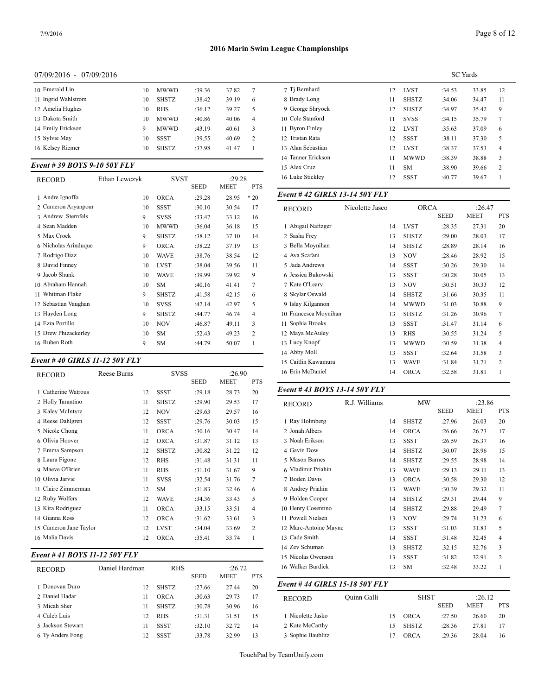#### 07/09/2016 - 07/09/2016

| 10 Emerald Lin      | 10 | <b>MWWD</b>  | :39.36 | 37.82 | 7              | 7 Ti Bernha   |
|---------------------|----|--------------|--------|-------|----------------|---------------|
| 11 Ingrid Wahlstrom | 10 | <b>SHSTZ</b> | :38.42 | 39.19 | 6              | 8 Brady Los   |
| 12 Amelia Hughes    | 10 | <b>RHS</b>   | :36.12 | 39.27 | 5              | 9 George Sl   |
| 13 Dakota Smith     | 10 | <b>MWWD</b>  | :40.86 | 40.06 | $\overline{4}$ | 10 Cole Stan  |
| 14 Emily Erickson   | 9  | <b>MWWD</b>  | :43.19 | 40.61 | 3              | 11 Byron Fir  |
| 15 Sylvie May       | 10 | SSST         | :39.55 | 40.69 | 2              | 12 Tristan Ra |
| 16 Kelsey Riemer    | 10 | <b>SHSTZ</b> | :37.98 | 41.47 |                | 13 Alan Seba  |
|                     |    |              |        |       |                |               |

# *Event # 39 BOYS 9-10 50Y FLY*

| <b>RECORD</b>        | Ethan Lewczyk | <b>SVST</b>  |             | :29.28      |            | 16 Luke Stickley  |
|----------------------|---------------|--------------|-------------|-------------|------------|-------------------|
|                      |               |              | <b>SEED</b> | <b>MEET</b> | <b>PTS</b> |                   |
| 1 Andre Ignoffo      | 10            | <b>ORCA</b>  | :29.28      | 28.95       | $*20$      | Event #42 GIR     |
| 2 Cameron Aryanpour  | 10            | <b>SSST</b>  | :30.10      | 30.54       | 17         | <b>RECORD</b>     |
| 3 Andrew Sternfels   | 9             | <b>SVSS</b>  | :33.47      | 33.12       | 16         |                   |
| 4 Sean Madden        | 10            | <b>MWWD</b>  | :36.04      | 36.18       | 15         | 1 Abigail Naftzge |
| 5 Max Crock          | 9             | <b>SHSTZ</b> | :38.12      | 37.10       | 14         | 2 Sasha Frey      |
| 6 Nicholas Arinduque | 9             | <b>ORCA</b>  | :38.22      | 37.19       | 13         | 3 Bella Moynihai  |
| 7 Rodrigo Diaz       | 10            | <b>WAVE</b>  | :38.76      | 38.54       | 12         | 4 Ava Scafani     |
| 8 David Finney       | 10            | <b>LVST</b>  | :38.04      | 39.56       | 11         | 5 Jada Andrews    |
| 9 Jacob Shunk        | 10            | <b>WAVE</b>  | :39.99      | 39.92       | 9          | 6 Jessica Bukows  |
| 10 Abraham Hannah    | 10            | <b>SM</b>    | :40.16      | 41.41       | 7          | 7 Kate O'Leary    |
| Whitman Flake<br>11  | 9             | <b>SHSTZ</b> | :41.58      | 42.15       | 6          | 8 Skylar Oswald   |
| 12 Sebastian Vaughan | 10            | <b>SVSS</b>  | :42.14      | 42.97       | 5          | 9 Islay Kilgannor |
| 13 Hayden Long       | 9             | <b>SHSTZ</b> | :44.77      | 46.74       | 4          | 10 Francesca Moy  |
| 14 Ezra Portillo     | 10            | <b>NOV</b>   | :46.87      | 49.11       | 3          | 11 Sophia Brooks  |
| 15 Drew Phizackerley | 10            | <b>SM</b>    | :52.43      | 49.23       | 2          | 12 Maya McAuley   |
| 16 Ruben Roth        | 9             | <b>SM</b>    | :44.79      | 50.07       | 1          | 13 Lucy Knopf     |

### *Event # 40 GIRLS 11-12 50Y FLY*

| <b>RECORD</b>          | Reese Burns |    | <b>SVSS</b>  |             | :26.90      |                | 16 Erin McDaniel      |
|------------------------|-------------|----|--------------|-------------|-------------|----------------|-----------------------|
|                        |             |    |              | <b>SEED</b> | <b>MEET</b> | <b>PTS</b>     |                       |
| 1 Catherine Watrous    |             | 12 | <b>SSST</b>  | :29.18      | 28.73       | 20             | <i>Event # 43 BOY</i> |
| 2 Holly Tarantino      |             | 11 | <b>SHSTZ</b> | :29.90      | 29.53       | 17             | <b>RECORD</b>         |
| 3 Kaley McIntyre       |             | 12 | <b>NOV</b>   | :29.63      | 29.57       | 16             |                       |
| 4 Reese Dahlgren       |             | 12 | <b>SSST</b>  | :29.76      | 30.03       | 15             | 1 Ray Holmberg        |
| 5 Nicole Chong         |             | 11 | <b>ORCA</b>  | :30.16      | 30.47       | 14             | 2 Jonah Albers        |
| 6 Olivia Hoover        |             | 12 | <b>ORCA</b>  | :31.87      | 31.12       | 13             | 3 Noah Erikson        |
| 7 Emma Sampson         |             | 12 | <b>SHSTZ</b> | :30.82      | 31.22       | 12             | 4 Gavin Dow           |
| 8 Laura Figone         |             | 12 | <b>RHS</b>   | :31.48      | 31.31       | 11             | 5 Mason Barnes        |
| 9 Maeve O'Brien        |             | 11 | <b>RHS</b>   | :31.10      | 31.67       | 9              | 6 Vladimir Priahi     |
| 10 Olivia Jarvie       |             | 11 | <b>SVSS</b>  | :32.54      | 31.76       | 7              | 7 Boden Davis         |
| 11 Claire Zimmerman    |             | 12 | <b>SM</b>    | :31.83      | 32.46       | 6              | 8 Andrey Priahin      |
| 12 Ruby Wolfers        |             | 12 | <b>WAVE</b>  | :34.36      | 33.43       | 5              | 9 Holden Cooper       |
| 13 Kira Rodriguez      |             | 11 | <b>ORCA</b>  | :33.15      | 33.51       | $\overline{4}$ | 10 Henry Cosentin     |
| 14 Gianna Ross         |             | 12 | <b>ORCA</b>  | :31.62      | 33.61       | 3              | 11 Powell Nielsen     |
| 15 Cameron Jane Taylor |             | 12 | <b>LVST</b>  | :34.04      | 33.69       | 2              | 12 Marc-Antoine l     |
| 16 Malia Davis         |             | 12 | <b>ORCA</b>  | :35.41      | 33.74       | 1              | 13 Cade Smith         |
|                        |             |    |              |             |             |                |                       |

# *Event # 41 BOYS 11-12 50Y FLY*

| <b>RECORD</b>     | Daniel Hardman | <b>RHS</b>   |             |             | :26.72     | 16 Walker Burdick |  |
|-------------------|----------------|--------------|-------------|-------------|------------|-------------------|--|
|                   |                |              | <b>SEED</b> | <b>MEET</b> | <b>PTS</b> |                   |  |
| 1 Donovan Duro    | 12             | <b>SHSTZ</b> | :27.66      | 27.44       | 20         | Event #44 GIR     |  |
| 2 Daniel Hadar    | 11             | <b>ORCA</b>  | :30.63      | 29.73       | 17         | <b>RECORD</b>     |  |
| 3 Micah Sher      | 11             | <b>SHSTZ</b> | :30.78      | 30.96       | 16         |                   |  |
| 4 Caleb Luis      | 12             | <b>RHS</b>   | :31.31      | 31.51       | 15         | 1 Nicolette Jasko |  |
| 5 Jackson Stewart | 11             | <b>SSST</b>  | :32.10      | 32.72       | 14         | 2 Kate McCarthy   |  |
| 6 Ty Anders Fong  | 12             | SSST         | :33.78      | 32.99       | 13         | 3 Sophie Baublitz |  |

| <b>SC</b> Yards |              |        |       |                |  |  |
|-----------------|--------------|--------|-------|----------------|--|--|
| 12              | <b>LVST</b>  | :34.53 | 33.85 | 12             |  |  |
| 11              | <b>SHSTZ</b> | :34.06 | 34.47 | 11             |  |  |
| 12              | <b>SHSTZ</b> | :34.97 | 35.42 | 9              |  |  |
| 11              | <b>SVSS</b>  | :34.15 | 35.79 | 7              |  |  |
| 12              | <b>LVST</b>  | :35.63 | 37.09 | 6              |  |  |
| 12              | <b>SSST</b>  | :38.11 | 37.30 | 5              |  |  |
| 12              | <b>LVST</b>  | :38.37 | 37.53 | $\overline{4}$ |  |  |
| 11              | <b>MWWD</b>  | :38.39 | 38.88 | 3              |  |  |
| 11              | <b>SM</b>    | :38.90 | 39.66 | 2              |  |  |
| 12              | <b>SSST</b>  | :40.77 | 39.67 |                |  |  |
|                 |              |        |       |                |  |  |

#### *Event # 42 GIRLS 13-14 50Y FLY*

| <b>RECORD</b>         | Nicolette Jasco | <b>ORCA</b>  |             | :26.47      |            |
|-----------------------|-----------------|--------------|-------------|-------------|------------|
|                       |                 |              | <b>SEED</b> | <b>MEET</b> | <b>PTS</b> |
| 1 Abigail Naftzger    | 14              | <b>LVST</b>  | :28.35      | 27.31       | 20         |
| 2 Sasha Frey          | 13              | <b>SHSTZ</b> | :29.00      | 28.03       | 17         |
| 3 Bella Moynihan      | 14              | <b>SHSTZ</b> | :28.89      | 28.14       | 16         |
| 4 Ava Scafani         | 13              | <b>NOV</b>   | :28.46      | 28.92       | 15         |
| 5 Jada Andrews        | 14              | <b>SSST</b>  | :30.26      | 29.30       | 14         |
| 6 Jessica Bukowski    | 13              | <b>SSST</b>  | :30.28      | 30.05       | 13         |
| 7 Kate O'Leary        | 13              | <b>NOV</b>   | :30.51      | 30.33       | 12         |
| 8 Skylar Oswald       | 14              | <b>SHSTZ</b> | :31.66      | 30.35       | 11         |
| 9 Islay Kilgannon     | 14              | <b>MWWD</b>  | :31.03      | 30.88       | 9          |
| 10 Francesca Moynihan | 13              | <b>SHSTZ</b> | :31.26      | 30.96       | 7          |
| 11 Sophia Brooks      | 13              | <b>SSST</b>  | :31.47      | 31.14       | 6          |
| 12 Maya McAuley       | 13              | <b>RHS</b>   | :30.55      | 31.24       | 5          |
| 13 Lucy Knopf         | 13              | <b>MWWD</b>  | :30.59      | 31.38       | 4          |
| 14 Abby Moll          | 13              | <b>SSST</b>  | :32.64      | 31.58       | 3          |
| 15 Caitlin Kawamura   | 13              | <b>WAVE</b>  | :31.84      | 31.71       | 2          |
| 16 Erin McDaniel      | 14              | <b>ORCA</b>  | :32.58      | 31.81       | 1          |
|                       |                 |              |             |             |            |

# *Event # 43 BOYS 13-14 50Y FLY*

| RECORD                | R.J. Williams |    | <b>MW</b>    |             | :23.86      |                |
|-----------------------|---------------|----|--------------|-------------|-------------|----------------|
|                       |               |    |              | <b>SEED</b> | <b>MEET</b> | <b>PTS</b>     |
| 1 Ray Holmberg        |               | 14 | <b>SHSTZ</b> | :27.96      | 26.03       | 20             |
| 2 Jonah Albers        |               | 14 | <b>ORCA</b>  | :26.66      | 26.23       | 17             |
| 3 Noah Erikson        |               | 13 | <b>SSST</b>  | :26.59      | 26.37       | 16             |
| 4 Gavin Dow           |               | 14 | <b>SHSTZ</b> | :30.07      | 28.96       | 15             |
| 5 Mason Barnes        |               | 14 | <b>SHSTZ</b> | :29.55      | 28.98       | 14             |
| 6 Vladimir Priahin    |               | 13 | <b>WAVE</b>  | :29.13      | 29.11       | 13             |
| 7 Boden Davis         |               | 13 | <b>ORCA</b>  | :30.58      | 29.30       | 12             |
| 8 Andrey Priahin      |               | 13 | <b>WAVE</b>  | :30.39      | 29.32       | 11             |
| 9 Holden Cooper       |               | 14 | <b>SHSTZ</b> | :29.31      | 29.44       | 9              |
| 10 Henry Cosentino    |               | 14 | <b>SHSTZ</b> | :29.88      | 29.49       | 7              |
| 11 Powell Nielsen     |               | 13 | <b>NOV</b>   | :29.74      | 31.23       | 6              |
| 12 Marc-Antoine Maync |               | 13 | <b>SSST</b>  | :31.03      | 31.83       | 5              |
| 13 Cade Smith         |               | 14 | <b>SSST</b>  | :31.48      | 32.45       | $\overline{4}$ |
| 14 Zev Schuman        |               | 13 | <b>SHSTZ</b> | :32.15      | 32.76       | 3              |
| 15 Nicolas Owenson    |               | 13 | <b>SSST</b>  | :31.82      | 32.91       | $\overline{c}$ |
| 16 Walker Burdick     |               | 13 | <b>SM</b>    | :32.48      | 33.22       | 1              |

| <b>RECORD</b>     | Ouinn Galli |    | <b>SHST</b>  |             | :26.12      |            |
|-------------------|-------------|----|--------------|-------------|-------------|------------|
|                   |             |    |              | <b>SEED</b> | <b>MEET</b> | <b>PTS</b> |
| 1 Nicolette Jasko |             | 15 | ORCA         | :27.50      | 26.60       | 20         |
| 2 Kate McCarthy   |             | 15 | <b>SHSTZ</b> | :28.36      | 27.81       | 17         |
| 3 Sophie Baublitz |             |    | ORCA         | :29.36      | 28.04       | 16         |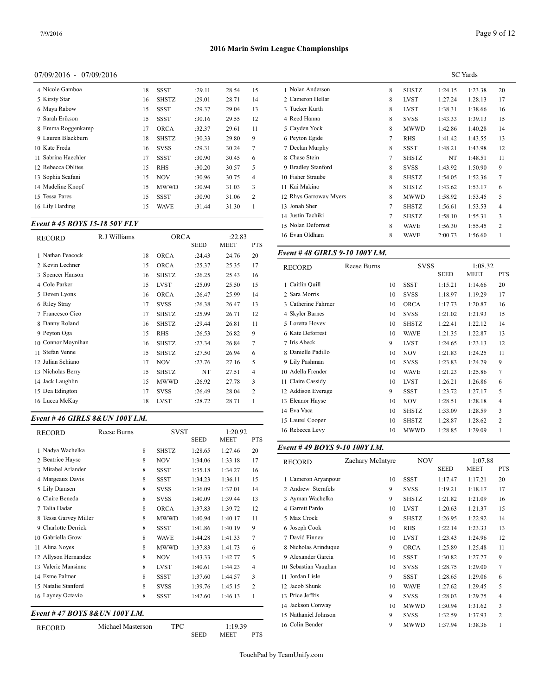#### 07/09/2016 - 07/09/2016

| 4 Nicole Gamboa     | 18 | SSST         | :29.11 | 28.54 | 15             | 1 Nolan And    |
|---------------------|----|--------------|--------|-------|----------------|----------------|
| 5 Kirsty Star       | 16 | <b>SHSTZ</b> | :29.01 | 28.71 | 14             | 2 Cameron H    |
| 6 Mava Rabow        | 15 | <b>SSST</b>  | :29.37 | 29.04 | 13             | 3 Tucker Ku    |
| 7 Sarah Erikson     | 15 | <b>SSST</b>  | :30.16 | 29.55 | 12             | 4 Reed Hann    |
| 8 Emma Roggenkamp   | 17 | <b>ORCA</b>  | :32.37 | 29.61 | 11             | 5 Cavden Yo    |
| 9 Lauren Blackburn  | 18 | <b>SHSTZ</b> | :30.33 | 29.80 | 9              | 6 Peyton Egi   |
| 10 Kate Freda       | 16 | <b>SVSS</b>  | :29.31 | 30.24 | 7              | 7 Declan Mu    |
| 11 Sabrina Haechler | 17 | <b>SSST</b>  | :30.90 | 30.45 | 6              | 8 Chase Stei   |
| 12 Rebecca Oblites  | 15 | <b>RHS</b>   | :30.20 | 30.57 | 5              | 9 Bradley Sta  |
| 13 Sophia Scafani   | 15 | <b>NOV</b>   | :30.96 | 30.75 | $\overline{4}$ | 10 Fisher Stra |
| 14 Madeline Knopf   | 15 | <b>MWWD</b>  | :30.94 | 31.03 | 3              | 11 Kai Makin   |
| 15 Tessa Pares      | 15 | <b>SSST</b>  | :30.90 | 31.06 | $\overline{2}$ | 12 Rhys Garro  |
| 16 Lily Harding     | 15 | WAVE         | :31.44 | 31.30 | 1              | 13 Jonah Sher  |
|                     |    |              |        |       |                |                |

# *Event # 45 BOYS 15-18 50Y FLY*

| <b>RECORD</b>      | R.J Williams |    | <b>ORCA</b>  | :22.83      |             |                | 16 Evan Oldham     |  |
|--------------------|--------------|----|--------------|-------------|-------------|----------------|--------------------|--|
|                    |              |    |              | <b>SEED</b> | <b>MEET</b> | <b>PTS</b>     |                    |  |
| 1 Nathan Peacock   |              | 18 | <b>ORCA</b>  | :24.43      | 24.76       | 20             | Event #48 GIR      |  |
| 2 Kevin Lechner    |              | 15 | <b>ORCA</b>  | :25.37      | 25.35       | 17             | <b>RECORD</b>      |  |
| 3 Spencer Hanson   |              | 16 | <b>SHSTZ</b> | :26.25      | 25.43       | 16             |                    |  |
| 4 Cole Parker      |              | 15 | <b>LVST</b>  | :25.09      | 25.50       | 15             | 1 Caitlin Quill    |  |
| 5 Deven Lyons      |              | 16 | <b>ORCA</b>  | :26.47      | 25.99       | 14             | 2 Sara Morris      |  |
| 6 Riley Stray      |              | 17 | <b>SVSS</b>  | :26.38      | 26.47       | 13             | 3 Catherine Fahri  |  |
| 7 Francesco Cico   |              | 17 | <b>SHSTZ</b> | :25.99      | 26.71       | 12             | 4 Skyler Barnes    |  |
| 8 Danny Roland     |              | 16 | <b>SHSTZ</b> | :29.44      | 26.81       | 11             | 5 Loretta Hovey    |  |
| 9 Peyton Oga       |              | 15 | <b>RHS</b>   | :26.53      | 26.82       | 9              | 6 Kate Deforrest   |  |
| 10 Connor Moynihan |              | 16 | <b>SHSTZ</b> | :27.34      | 26.84       | 7              | 7 Iris Abeck       |  |
| 11 Stefan Venne    |              | 15 | <b>SHSTZ</b> | :27.50      | 26.94       | 6              | 8 Danielle Padillo |  |
| 12 Julian Schiano  |              | 17 | <b>NOV</b>   | :27.76      | 27.16       | 5              | 9 Lily Pashman     |  |
| 13 Nicholas Berry  |              | 15 | <b>SHSTZ</b> | NT          | 27.51       | $\overline{4}$ | 10 Adella Frender  |  |
| 14 Jack Laughlin   |              | 15 | <b>MWWD</b>  | :26.92      | 27.78       | 3              | 11 Claire Cassidy  |  |
| 15 Dea Edington    |              | 17 | <b>SVSS</b>  | :26.49      | 28.04       | 2              | 12 Addison Everas  |  |
| 16 Lucca McKay     |              | 18 | <b>LVST</b>  | :28.72      | 28.71       | 1              | 13 Eleanor Hayse   |  |
|                    |              |    |              |             |             |                |                    |  |

# *Event # 46 GIRLS 8&UN 100Y I.M.*

| <b>RECORD</b>                        | Reese Burns       |  | <b>SVST</b>  |                        | 1:20.92                |                  | 16 Rebecca Levy    |
|--------------------------------------|-------------------|--|--------------|------------------------|------------------------|------------------|--------------------|
| 1 Nadya Wachelka                     | 8                 |  | <b>SHSTZ</b> | <b>SEED</b><br>1:28.65 | <b>MEET</b><br>1:27.46 | <b>PTS</b><br>20 | Event #49 BOY      |
| 2 Beatrice Havse                     | 8                 |  | <b>NOV</b>   | 1:34.06                | 1:33.18                | 17               | RECORD             |
| 3 Mirabel Arlander                   | 8                 |  | <b>SSST</b>  | 1:35.18                | 1:34.27                | 16               |                    |
| 4 Margeaux Davis                     | 8                 |  | <b>SSST</b>  | 1:34.23                | 1:36.11                | 15               | 1 Cameron Aryar    |
| 5 Lily Damsen                        | 8                 |  | <b>SVSS</b>  | 1:36.09                | 1:37.01                | 14               | 2 Andrew Sternf    |
| 6 Claire Beneda                      | 8                 |  | <b>SVSS</b>  | 1:40.09                | 1:39.44                | 13               | 3 Ayman Wachell    |
| 7 Talia Hadar                        | 8                 |  | <b>ORCA</b>  | 1:37.83                | 1:39.72                | 12               | 4 Garrett Pardo    |
| 8 Tessa Garvey Miller                | 8                 |  | <b>MWWD</b>  | 1:40.94                | 1:40.17                | 11               | 5 Max Crock        |
| 9 Charlotte Derrick                  | 8                 |  | <b>SSST</b>  | 1:41.86                | 1:40.19                | 9                | 6 Joseph Cook      |
| Gabriella Grow<br>10                 | 8                 |  | <b>WAVE</b>  | 1:44.28                | 1:41.33                | 7                | 7 David Finney     |
| Alina Noves<br>11                    | 8                 |  | <b>MWWD</b>  | 1:37.83                | 1:41.73                | 6                | 8 Nicholas Arind   |
| Allyson Hernandez<br>12 <sup>2</sup> | 8                 |  | <b>NOV</b>   | 1:43.33                | 1:42.77                | 5                | 9 Alexander Gard   |
| Valerie Mansinne<br>13               | 8                 |  | <b>LVST</b>  | 1:40.61                | 1:44.23                | 4                | 10 Sebastian Vaug  |
| 14 Esme Palmer                       | 8                 |  | <b>SSST</b>  | 1:37.60                | 1:44.57                | 3                | 11 Jordan Lisle    |
| 15 Natalie Stanford                  | 8                 |  | <b>SVSS</b>  | 1:39.76                | 1:45.15                | $\overline{c}$   | 12 Jacob Shunk     |
| 16 Layney Octavio                    | 8                 |  | <b>SSST</b>  | 1:42.60                | 1:46.13                | $\mathbf{1}$     | 13 Price Jeffris   |
|                                      |                   |  |              |                        |                        |                  | 14 Jackson Conwa   |
| Event #47 BOYS 8&UN 100Y I.M.        |                   |  |              |                        |                        |                  | 15 Nathaniel Johns |
| <b>RECORD</b>                        | Michael Masterson |  | <b>TPC</b>   |                        | 1:19.39                |                  | 16 Colin Bender    |
|                                      |                   |  |              | <b>SEED</b>            | MEET                   | <b>PTS</b>       |                    |

|                        | <b>SC</b> Yards |              |         |         |    |  |  |
|------------------------|-----------------|--------------|---------|---------|----|--|--|
| 1 Nolan Anderson       | 8               | <b>SHSTZ</b> | 1:24.15 | 1:23.38 | 20 |  |  |
| 2 Cameron Hellar       | 8               | <b>LVST</b>  | 1:27.24 | 1:28.13 | 17 |  |  |
| 3 Tucker Kurth         | 8               | <b>LVST</b>  | 1:38.31 | 1:38.66 | 16 |  |  |
| 4 Reed Hanna           | 8               | <b>SVSS</b>  | 1:43.33 | 1:39.13 | 15 |  |  |
| 5 Cayden Yock          | 8               | <b>MWWD</b>  | 1:42.86 | 1:40.28 | 14 |  |  |
| 6 Peyton Egide         | 7               | <b>RHS</b>   | 1:41.42 | 1:43.55 | 13 |  |  |
| 7 Declan Murphy        | 8               | <b>SSST</b>  | 1:48.21 | 1:43.98 | 12 |  |  |
| 8 Chase Stein          | 7               | <b>SHSTZ</b> | NT      | 1:48.51 | 11 |  |  |
| 9 Bradley Stanford     | 8               | <b>SVSS</b>  | 1:43.92 | 1:50.90 | 9  |  |  |
| 10 Fisher Straube      | 8               | <b>SHSTZ</b> | 1:54.05 | 1:52.36 | 7  |  |  |
| 11 Kai Makino          | 8               | <b>SHSTZ</b> | 1:43.62 | 1:53.17 | 6  |  |  |
| 12 Rhys Garroway Myers | 8               | <b>MWWD</b>  | 1:58.92 | 1:53.45 | 5  |  |  |
| 13 Jonah Sher          | 7               | <b>SHSTZ</b> | 1:56.61 | 1:53.53 | 4  |  |  |
| 14 Justin Tachiki      | 7               | <b>SHSTZ</b> | 1:58.10 | 1:55.31 | 3  |  |  |
| 15 Nolan Deforrest     | 8               | <b>WAVE</b>  | 1:56.30 | 1:55.45 | 2  |  |  |
| 16 Evan Oldham         | 8               | <b>WAVE</b>  | 2:00.73 | 1:56.60 | 1  |  |  |

#### *Event # 48 GIRLS 9-10 100Y I.M.*

| <b>RECORD</b>       | Reese Burns |    | <b>SVSS</b>  |             | 1:08.32     |                |
|---------------------|-------------|----|--------------|-------------|-------------|----------------|
|                     |             |    |              | <b>SEED</b> | <b>MEET</b> | <b>PTS</b>     |
| 1 Caitlin Quill     |             | 10 | <b>SSST</b>  | 1:15.21     | 1:14.66     | 20             |
| 2 Sara Morris       |             | 10 | <b>SVSS</b>  | 1:18.97     | 1:19.29     | 17             |
| 3 Catherine Fahrner |             | 10 | <b>ORCA</b>  | 1:17.73     | 1:20.87     | 16             |
| 4 Skyler Barnes     |             | 10 | <b>SVSS</b>  | 1:21.02     | 1:21.93     | 15             |
| 5 Loretta Hovey     |             | 10 | <b>SHSTZ</b> | 1:22.41     | 1:22.12     | 14             |
| 6 Kate Deforrest    |             | 10 | <b>WAVE</b>  | 1:21.35     | 1:22.87     | 13             |
| 7 Iris Abeck        |             | 9  | <b>LVST</b>  | 1:24.65     | 1:23.13     | 12             |
| 8 Danielle Padillo  |             | 10 | <b>NOV</b>   | 1:21.83     | 1:24.25     | 11             |
| 9 Lily Pashman      |             | 10 | <b>SVSS</b>  | 1:23.83     | 1:24.79     | 9              |
| 10 Adella Frender   |             | 10 | <b>WAVE</b>  | 1:21.23     | 1:25.86     | $\overline{7}$ |
| 11 Claire Cassidy   |             | 10 | <b>LVST</b>  | 1:26.21     | 1:26.86     | 6              |
| 12 Addison Everage  |             | 9  | <b>SSST</b>  | 1:23.72     | 1:27.17     | 5              |
| 13 Eleanor Hayse    |             | 10 | <b>NOV</b>   | 1:28.51     | 1:28.18     | 4              |
| 14 Eva Vaca         |             | 10 | <b>SHSTZ</b> | 1:33.09     | 1:28.59     | 3              |
| 15 Laurel Cooper    |             | 10 | <b>SHSTZ</b> | 1:28.87     | 1:28.62     | 2              |
| 16 Rebecca Levy     |             | 10 | MWWD         | 1:28.85     | 1:29.09     | 1              |
|                     |             |    |              |             |             |                |

# *Event # 49 BOYS 9-10 100Y I.M.*

| <b>RECORD</b>        | Zachary McIntyre | <b>NOV</b>   |             | 1:07.88     |                |
|----------------------|------------------|--------------|-------------|-------------|----------------|
|                      |                  |              | <b>SEED</b> | <b>MEET</b> | <b>PTS</b>     |
| 1 Cameron Aryanpour  | 10               | <b>SSST</b>  | 1:17.47     | 1:17.21     | 20             |
| 2 Andrew Sternfels   | 9                | <b>SVSS</b>  | 1:19.21     | 1:18.17     | 17             |
| 3 Ayman Wachelka     | 9                | <b>SHSTZ</b> | 1:21.82     | 1:21.09     | 16             |
| 4 Garrett Pardo      | 10               | <b>LVST</b>  | 1:20.63     | 1:21.37     | 15             |
| 5 Max Crock          | 9                | <b>SHSTZ</b> | 1:26.95     | 1:22.92     | 14             |
| 6 Joseph Cook        | 10               | <b>RHS</b>   | 1:22.14     | 1:23.33     | 13             |
| 7 David Finney       | 10               | <b>LVST</b>  | 1:23.43     | 1:24.96     | 12             |
| 8 Nicholas Arinduque | 9                | <b>ORCA</b>  | 1:25.89     | 1:25.48     | 11             |
| 9 Alexander Garcia   | 10               | <b>SSST</b>  | 1:30.82     | 1:27.27     | 9              |
| 10 Sebastian Vaughan | 10               | <b>SVSS</b>  | 1:28.75     | 1:29.00     | $\tau$         |
| 11 Jordan Lisle      | 9                | <b>SSST</b>  | 1:28.65     | 1:29.06     | 6              |
| 12 Jacob Shunk       | 10               | <b>WAVE</b>  | 1:27.62     | 1:29.45     | 5              |
| 13 Price Jeffris     | 9                | <b>SVSS</b>  | 1:28.03     | 1:29.75     | 4              |
| 14 Jackson Conway    | 10               | MWWD         | 1:30.94     | 1:31.62     | 3              |
| 15 Nathaniel Johnson | 9                | <b>SVSS</b>  | 1:32.59     | 1:37.93     | $\overline{c}$ |
| 16 Colin Bender      | 9                | MWWD         | 1:37.94     | 1:38.36     | 1              |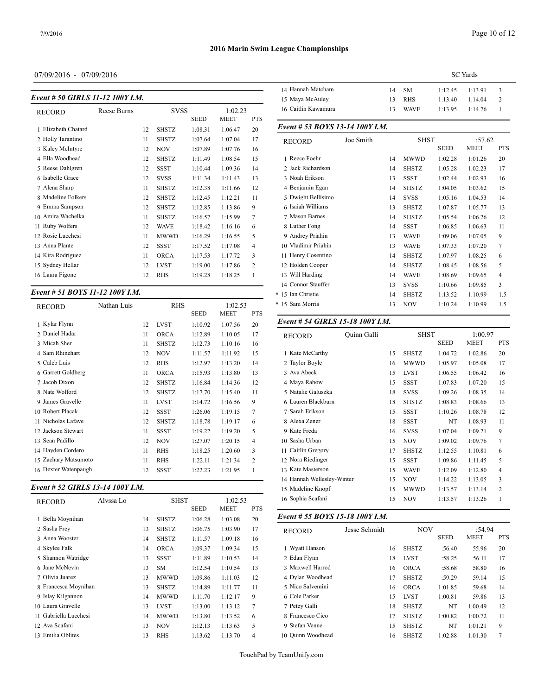# 07/09/2016 - 07/09/2016

| Event # 50 GIRLS 11-12 100Y I.M. |             | 14 Tidililali iylatçılı<br>15 Maya McAuley |              |             |             |                |                    |
|----------------------------------|-------------|--------------------------------------------|--------------|-------------|-------------|----------------|--------------------|
| <b>RECORD</b>                    | Reese Burns | <b>SVSS</b>                                |              |             | 1:02.23     |                | 16 Caitlin Kawam   |
|                                  |             |                                            |              | <b>SEED</b> | <b>MEET</b> | <b>PTS</b>     |                    |
| 1 Elizabeth Chatard              |             | 12                                         | <b>SHSTZ</b> | 1:08.31     | 1:06.47     | 20             | Event # 53 $BOY$   |
| 2 Holly Tarantino                |             | 11                                         | <b>SHSTZ</b> | 1:07.64     | 1:07.04     | 17             | <b>RECORD</b>      |
| 3 Kaley McIntyre                 |             | 12                                         | <b>NOV</b>   | 1:07.89     | 1:07.76     | 16             |                    |
| 4 Ella Woodhead                  |             | 12                                         | <b>SHSTZ</b> | 1:11.49     | 1:08.54     | 15             | 1 Reece Foehr      |
| 5 Reese Dahlgren                 |             | 12                                         | <b>SSST</b>  | 1:10.44     | 1:09.36     | 14             | 2 Jack Richardso:  |
| 6 Isabelle Grace                 |             | 12                                         | <b>SVSS</b>  | 1:11.34     | 1:11.43     | 13             | 3 Noah Erikson     |
| 7 Alena Sharp                    |             | 11                                         | <b>SHSTZ</b> | 1:12.38     | 1:11.66     | 12             | 4 Benjamin Egan    |
| 8 Madeline Folkers               |             | 12                                         | <b>SHSTZ</b> | 1:12.45     | 1:12.21     | 11             | 5 Dwight Bellisir  |
| 9 Emma Sampson                   |             | 12                                         | <b>SHSTZ</b> | 1:12.85     | 1:13.86     | 9              | 6 Isaiah Williams  |
| 10 Amira Wachelka                |             | 11                                         | <b>SHSTZ</b> | 1:16.57     | 1:15.99     | 7              | 7 Mason Barnes     |
| 11 Ruby Wolfers                  |             | 12                                         | <b>WAVE</b>  | 1:18.42     | 1:16.16     | 6              | 8 Luther Fong      |
| 12 Rosie Lucchesi                |             | 11                                         | <b>MWWD</b>  | 1:16.29     | 1:16.55     | 5              | 9 Andrey Priahin   |
| 13 Anna Plante                   |             | 12                                         | <b>SSST</b>  | 1:17.52     | 1:17.08     | $\overline{4}$ | 10 Vladimir Priahi |
| 14 Kira Rodriguez                |             | 11                                         | <b>ORCA</b>  | 1:17.53     | 1:17.72     | 3              | 11 Henry Cosentin  |
| 15 Sydney Hellar                 |             | 12                                         | <b>LVST</b>  | 1:19.00     | 1:17.86     | 2              | 12 Holden Cooper   |
| 16 Laura Figone                  |             | 12                                         | <b>RHS</b>   | 1:19.28     | 1:18.25     | 1              | 13 Will Harding    |
|                                  |             |                                            |              |             |             |                |                    |

#### *Event # 51 BOYS 11-12 100Y I.M.*

| <b>RECORD</b>        | Nathan Luis |    | <b>RHS</b>   |             | 1:02.53     |            | * 15 Sam Morris                  |             | 13 | <b>NOV</b>   |
|----------------------|-------------|----|--------------|-------------|-------------|------------|----------------------------------|-------------|----|--------------|
|                      |             |    |              | <b>SEED</b> | <b>MEET</b> | <b>PTS</b> |                                  |             |    |              |
| 1 Kylar Flynn        |             | 12 | <b>LVST</b>  | 1:10.92     | 1:07.56     | 20         | Event # 54 GIRLS 15-18 100Y I.M. |             |    |              |
| 2 Daniel Hadar       |             | 11 | <b>ORCA</b>  | 1:12.89     | 1:10.05     | 17         | <b>RECORD</b>                    | Quinn Galli |    | SH:          |
| 3 Micah Sher         |             | 11 | <b>SHSTZ</b> | 1:12.73     | 1:10.16     | 16         |                                  |             |    |              |
| 4 Sam Rhinehart      |             | 12 | <b>NOV</b>   | 1:11.57     | 1:11.92     | 15         | 1 Kate McCarthy                  |             | 15 | <b>SHSTZ</b> |
| 5 Caleb Luis         |             | 12 | <b>RHS</b>   | 1:12.97     | 1:13.20     | 14         | 2 Taylor Boyle                   |             | 16 | <b>MWWD</b>  |
| 6 Garrett Goldberg   |             | 11 | <b>ORCA</b>  | 1:15.93     | 1:13.80     | 13         | 3 Ava Abeck                      |             | 15 | <b>LVST</b>  |
| 7 Jacob Dixon        |             | 12 | <b>SHSTZ</b> | 1:16.84     | 1:14.36     | 12         | 4 Maya Rabow                     |             | 15 | <b>SSST</b>  |
| 8 Nate Wolford       |             | 12 | <b>SHSTZ</b> | 1:17.70     | 1:15.40     | 11         | 5 Natalie Galuszka               |             | 18 | <b>SVSS</b>  |
| 9 James Gravelle     |             | 11 | <b>LVST</b>  | 1:14.72     | 1:16.56     | 9          | 6 Lauren Blackburn               |             | 18 | <b>SHSTZ</b> |
| 10 Robert Placak     |             | 12 | <b>SSST</b>  | 1:26.06     | 1:19.15     | 7          | 7 Sarah Erikson                  |             | 15 | <b>SSST</b>  |
| 11 Nicholas Lafave   |             | 12 | <b>SHSTZ</b> | 1:18.78     | 1:19.17     | 6          | 8 Alexa Zener                    |             | 18 | <b>SSST</b>  |
| 12 Jackson Stewart   |             | 11 | <b>SSST</b>  | 1:19.22     | 1:19.20     | 5          | 9 Kate Freda                     |             | 16 | <b>SVSS</b>  |
| 13 Sean Padillo      |             | 12 | <b>NOV</b>   | 1:27.07     | 1:20.15     | 4          | 10 Sasha Urban                   |             | 15 | <b>NOV</b>   |
| 14 Hayden Cordero    |             | 11 | <b>RHS</b>   | 1:18.25     | 1:20.60     | 3          | 11 Caitlin Gregory               |             | 17 | <b>SHSTZ</b> |
| 15 Zachary Matsumoto |             | 11 | <b>RHS</b>   | 1:22.11     | 1:21.34     | 2          | 12 Nora Riedinger                |             | 15 | <b>SSST</b>  |
| 16 Dexter Watenpaugh |             | 12 | <b>SSST</b>  | 1:22.23     | 1:21.95     |            | 13 Kate Masterson                |             | 15 | <b>WAVE</b>  |
|                      |             |    |              |             |             |            |                                  |             |    |              |

# *Event # 52 GIRLS 13-14 100Y I.M.*

| <b>RECORD</b>         | Alvssa Lo |    | <b>SHST</b>  |             | 1:02.53     |            | 16 Sophia Scafani               | 15            | <b>NOV</b>   |
|-----------------------|-----------|----|--------------|-------------|-------------|------------|---------------------------------|---------------|--------------|
|                       |           |    |              | <b>SEED</b> | <b>MEET</b> | <b>PTS</b> | Event # 55 BOYS 15-18 100Y I.M. |               |              |
| 1 Bella Moynihan      |           | 14 | <b>SHSTZ</b> | 1:06.28     | 1:03.08     | 20         |                                 |               |              |
| 2 Sasha Frev          |           | 13 | <b>SHSTZ</b> | 1:06.75     | 1:03.90     | 17         | <b>RECORD</b>                   | Jesse Schmidt | N0           |
| 3 Anna Wooster        |           | 14 | <b>SHSTZ</b> | 1:11.57     | 1:09.18     | 16         |                                 |               |              |
| 4 Skylee Falk         |           | 14 | <b>ORCA</b>  | 1:09.37     | 1:09.34     | 15         | 1 Wyatt Hanson                  | 16            | <b>SHSTZ</b> |
| 5 Shannon Watridge    |           | 13 | <b>SSST</b>  | 1:11.89     | 1:10.53     | 14         | 2 Edan Flynn                    | 18            | <b>LVST</b>  |
| 6 Jane McNevin        |           | 13 | <b>SM</b>    | 1:12.54     | 1:10.54     | 13         | 3 Maxwell Harrod                | 16            | <b>ORCA</b>  |
| 7 Olivia Juarez       |           | 13 | <b>MWWD</b>  | 1:09.86     | 1:11.03     | 12         | 4 Dylan Woodhead                | 17            | <b>SHSTZ</b> |
| 8 Francesca Moynihan  |           | 13 | <b>SHSTZ</b> | 1:14.89     | 1:11.77     | 11         | 5 Nico Salvemini                | 16            | <b>ORCA</b>  |
| 9 Islay Kilgannon     |           | 14 | <b>MWWD</b>  | 1:11.70     | 1:12.17     | 9          | 6 Cole Parker                   | 15            | <b>LVST</b>  |
| 10 Laura Gravelle     |           | 13 | <b>LVST</b>  | 1:13.00     | 1:13.12     | 7          | 7 Petey Galli                   | 18            | <b>SHSTZ</b> |
| 11 Gabriella Lucchesi |           | 14 | <b>MWWD</b>  | 1:13.80     | 1:13.52     | 6          | 8 Francesco Cico                | 17            | <b>SHSTZ</b> |
| 12 Ava Scafani        |           | 13 | <b>NOV</b>   | 1:12.13     | 1:13.63     | 5          | 9 Stefan Venne                  | 15            | <b>SHSTZ</b> |
| 13 Emilia Oblites     |           | 13 | <b>RHS</b>   | 1:13.62     | 1:13.70     | 4          | 10 Ouinn Woodhead               | 16            | <b>SHSTZ</b> |

|                     | <b>SC</b> Yards |             |         |         |               |  |  |  |
|---------------------|-----------------|-------------|---------|---------|---------------|--|--|--|
| 14 Hannah Matcham   |                 | 14 SM       | 1:12.45 | 1:13.91 | $\mathcal{R}$ |  |  |  |
| 15 Maya McAuley     | 13              | <b>RHS</b>  | 1:13.40 | 1.1404  | $\mathcal{L}$ |  |  |  |
| 16 Caitlin Kawamura | 13              | <b>WAVE</b> | 1:13.95 | 1:14.76 |               |  |  |  |
|                     |                 |             |         |         |               |  |  |  |

#### *Event # 53 BOYS 13-14 100Y I.M.*

| <b>RECORD</b>       | Joe Smith |    | <b>SHST</b>  |             | :57.62      |                |
|---------------------|-----------|----|--------------|-------------|-------------|----------------|
|                     |           |    |              | <b>SEED</b> | <b>MEET</b> | <b>PTS</b>     |
| 1 Reece Foehr       |           | 14 | <b>MWWD</b>  | 1:02.28     | 1:01.26     | 20             |
| 2 Jack Richardson   |           | 14 | <b>SHSTZ</b> | 1:05.28     | 1:02.23     | 17             |
| 3 Noah Erikson      |           | 13 | <b>SSST</b>  | 1:02.44     | 1:02.93     | 16             |
| 4 Benjamin Egan     |           | 14 | <b>SHSTZ</b> | 1:04.05     | 1:03.62     | 15             |
| 5 Dwight Bellisimo  |           | 14 | <b>SVSS</b>  | 1:05.16     | 1:04.53     | 14             |
| 6 Isaiah Williams   |           | 13 | <b>SHSTZ</b> | 1:07.87     | 1:05.77     | 13             |
| 7 Mason Barnes      |           | 14 | <b>SHSTZ</b> | 1:05.54     | 1:06.26     | 12             |
| 8 Luther Fong       |           | 14 | <b>SSST</b>  | 1:06.85     | 1:06.63     | 11             |
| 9 Andrey Priahin    |           | 13 | <b>WAVE</b>  | 1:09.06     | 1:07.05     | 9              |
| 10 Vladimir Priahin |           | 13 | <b>WAVE</b>  | 1:07.33     | 1:07.20     | $\overline{7}$ |
| 11 Henry Cosentino  |           | 14 | <b>SHSTZ</b> | 1:07.97     | 1:08.25     | 6              |
| 12 Holden Cooper    |           | 14 | <b>SHSTZ</b> | 1:08.45     | 1:08.56     | 5              |
| 13 Will Harding     |           | 14 | <b>WAVE</b>  | 1:08.69     | 1:09.65     | 4              |
| 14 Connor Stauffer  |           | 13 | <b>SVSS</b>  | 1:10.66     | 1:09.85     | 3              |
| * 15 Ian Christie   |           | 14 | <b>SHSTZ</b> | 1:13.52     | 1:10.99     | 1.5            |
| * 15 Sam Morris     |           | 13 | <b>NOV</b>   | 1:10.24     | 1:10.99     | 1.5            |
|                     |           |    |              |             |             |                |

| <b>RECORD</b>              | Ouinn Galli |    | <b>SHST</b>  |             | 1:00.97     |                |
|----------------------------|-------------|----|--------------|-------------|-------------|----------------|
|                            |             |    |              | <b>SEED</b> | <b>MEET</b> | <b>PTS</b>     |
| 1 Kate McCarthy            |             | 15 | <b>SHSTZ</b> | 1:04.72     | 1:02.86     | 20             |
| 2 Taylor Boyle             |             | 16 | <b>MWWD</b>  | 1:05.97     | 1:05.08     | 17             |
| 3 Ava Abeck                |             | 15 | <b>LVST</b>  | 1:06.55     | 1:06.42     | 16             |
| 4 Maya Rabow               |             | 15 | <b>SSST</b>  | 1:07.83     | 1:07.20     | 15             |
| 5 Natalie Galuszka         |             | 18 | <b>SVSS</b>  | 1:09.26     | 1:08.35     | 14             |
| 6 Lauren Blackburn         |             | 18 | <b>SHSTZ</b> | 1:08.83     | 1:08.66     | 13             |
| 7 Sarah Erikson            |             | 15 | <b>SSST</b>  | 1:10.26     | 1:08.78     | 12             |
| 8 Alexa Zener              |             | 18 | <b>SSST</b>  | NT          | 1:08.93     | 11             |
| 9 Kate Freda               |             | 16 | <b>SVSS</b>  | 1:07.04     | 1:09.21     | 9              |
| Sasha Urban<br>10          |             | 15 | <b>NOV</b>   | 1:09.02     | 1:09.76     | 7              |
| 11 Caitlin Gregory         |             | 17 | <b>SHSTZ</b> | 1:12.55     | 1:10.81     | 6              |
| 12 Nora Riedinger          |             | 15 | <b>SSST</b>  | 1:09.86     | 1:11.45     | 5              |
| 13 Kate Masterson          |             | 15 | <b>WAVE</b>  | 1:12.09     | 1:12.80     | $\overline{4}$ |
| 14 Hannah Wellesley-Winter |             | 15 | <b>NOV</b>   | 1:14.22     | 1:13.05     | 3              |
| 15 Madeline Knopf          |             | 15 | <b>MWWD</b>  | 1:13.57     | 1:13.14     | $\overline{c}$ |
| 16 Sophia Scafani          |             | 15 | <b>NOV</b>   | 1:13.57     | 1:13.26     | 1              |
|                            |             |    |              |             |             |                |

| <b>RECORD</b>     | Jesse Schmidt | <b>NOV</b>   |             | :54.94      |            |
|-------------------|---------------|--------------|-------------|-------------|------------|
|                   |               |              | <b>SEED</b> | <b>MEET</b> | <b>PTS</b> |
| 1 Wyatt Hanson    | 16            | <b>SHSTZ</b> | :56.40      | 55.96       | 20         |
| 2 Edan Flynn      | 18            | <b>LVST</b>  | :58.25      | 56.11       | 17         |
| 3 Maxwell Harrod  | 16            | <b>ORCA</b>  | :58.68      | 58.80       | 16         |
| 4 Dylan Woodhead  | 17            | <b>SHSTZ</b> | :59.29      | 59.14       | 15         |
| 5 Nico Salvemini  | 16            | <b>ORCA</b>  | 1:01.85     | 59.68       | 14         |
| 6 Cole Parker     | 15            | <b>LVST</b>  | 1:00.81     | 59.86       | 13         |
| 7 Petey Galli     | 18            | <b>SHSTZ</b> | NT          | 1:00.49     | 12         |
| 8 Francesco Cico  | 17            | <b>SHSTZ</b> | 1:00.82     | 1:00.72     | 11         |
| 9 Stefan Venne    | 15            | <b>SHSTZ</b> | NT          | 1:01.21     | 9          |
| 10 Ouinn Woodhead | 16            | <b>SHSTZ</b> | 1:02.88     | 1:01.30     | 7          |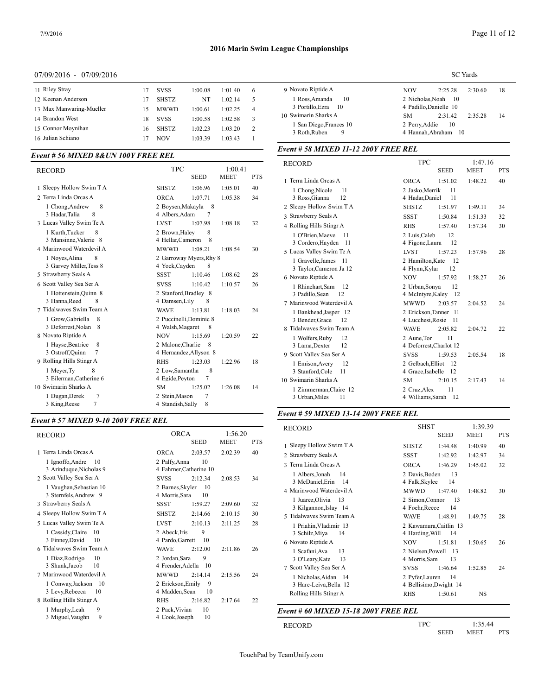#### 07/09/2016 - 07/09/2016

| 11 Riley Stray           | 17 | <b>SVSS</b>  | 1:00.08 | 1:01.40 | 6 | 9 Novato R           |
|--------------------------|----|--------------|---------|---------|---|----------------------|
| 12 Keenan Anderson       | 17 | <b>SHSTZ</b> | NT      | 1:02.14 | 5 | 1 Ross, $A$          |
| 13 Max Manwaring-Mueller | 15 | <b>MWWD</b>  | 1:00.61 | 1:02.25 | 4 | 3 Portill            |
| 14 Brandon West          | 18 | <b>SVSS</b>  | 1:00.58 | 1:02.58 | 3 | 10 Swimarin          |
| 15 Connor Movnihan       | 16 | <b>SHSTZ</b> | 1:02.23 | 1:03.20 | 2 | 1 San Di<br>3 Roth,F |
| 16 Julian Schiano        |    | <b>NOV</b>   | 1:03.39 | 1:03.43 |   |                      |
|                          |    |              |         |         |   |                      |

# *Event # 56 MIXED 8&UN 100Y FREE REL*

| <b>RECORD</b>            | <b>TPC</b>              |             | 1:00.41     |            | RECORD             |
|--------------------------|-------------------------|-------------|-------------|------------|--------------------|
|                          |                         | <b>SEED</b> | <b>MEET</b> | <b>PTS</b> | 1 Terra Linda Oro  |
| 1 Sleepy Hollow Swim T A | <b>SHSTZ</b>            | 1:06.96     | 1:05.01     | 40         | 1 Chong, Nico      |
| 2 Terra Linda Orcas A    | <b>ORCA</b>             | 1:07.71     | 1:05.38     | 34         | 3 Ross, Gianna     |
| 1 Chong, Andrew<br>8     | 2 Boysen, Makayla       | 8           |             |            | 2 Sleepy Hollow    |
| 8<br>3 Hadar, Talia      | 4 Albers, Adam          | 7           |             |            | 3 Strawberry Sea   |
| 3 Lucas Valley Swim Te A | <b>LVST</b>             | 1:07.98     | 1:08.18     | 32         | 4 Rolling Hills St |
| 1 Kurth, Tucker<br>8     | 2 Brown.Halev           | 8           |             |            | 1 O'Brien, Ma      |
| 3 Mansinne, Valerie 8    | 4 Hellar, Cameron       | 8           |             |            | 3 Cordero, Hav     |
| 4 Marinwood Waterdevil A | <b>MWWD</b>             | 1:08.21     | 1:08.54     | 30         | 5 Lucas Valley Sy  |
| 8<br>1 Noves, Alina      | 2 Garroway Myers.Rhy 8  |             |             |            | 1 Gravelle, Jar    |
| 3 Garvey Miller, Tess 8  | 4 Yock, Cayden          | 8           |             |            | 3 Taylor, Came     |
| 5 Strawberry Seals A     | <b>SSST</b>             | 1:10.46     | 1:08.62     | 28         | 6 Novato Riptide   |
| 6 Scott Valley Sea Ser A | <b>SVSS</b>             | 1:10.42     | 1:10.57     | 26         | 1 Rhinehart, Sa    |
| 1 Hottenstein, Quinn 8   | 2 Stanford, Bradley 8   |             |             |            | 3 Padillo, Sear    |
| 3 Hanna, Reed<br>8       | 4 Damsen, Lily          | 8           |             |            | 7 Marinwood Wa     |
| 7 Tidalwayes Swim Team A | <b>WAVE</b>             | 1:13.81     | 1:18.03     | 24         | 1 Bankhead, Ja     |
| 1 Grow, Gabriella<br>8   | 2 Puccinelli, Dominic 8 |             |             |            | 3 Bender, Grac     |
| 3 Deforrest, Nolan<br>-8 | 4 Walsh, Magaret        | 8           |             |            | 8 Tidalwaves Sw    |
| 8 Novato Riptide A       | <b>NOV</b>              | 1:15.69     | 1:20.59     | 22         | 1 Wolfers.Rub      |
| 1 Hayse, Beatrice<br>8   | 2 Malone, Charlie       | 8           |             |            | 3 Lama, Dexte      |
| 3 Ostroff, Quinn<br>7    | 4 Hernandez, Allyson 8  |             |             |            | 9 Scott Valley Se  |
| 9 Rolling Hills Stingr A | <b>RHS</b>              | 1:23.03     | 1:22.96     | 18         | 1 Emison, Ave      |
| 1 Meyer, Ty<br>8         | 2 Low, Samantha         | 8           |             |            | 3 Stanford, Co     |
| 3 Eilerman, Catherine 6  | 4 Egide, Peyton         | 7           |             |            | 10 Swimarin Sharl  |
| 10 Swimarin Sharks A     | <b>SM</b>               | 1:25.02     | 1:26.08     | 14         | 1 Zimmerman        |
| 7<br>1 Dugan, Derek      | 2 Stein, Mason          | 7           |             |            | 3 Urban, Miles     |
| 7<br>3 King, Reese       | 4 Standish, Sally       | $\,$ 8 $\,$ |             |            |                    |

#### *Event # 57 MIXED 9-10 200Y FREE REL*

| <b>ORCA</b>                                 | 1:56.20                                                                                                                    | RECORD                                                                                 |
|---------------------------------------------|----------------------------------------------------------------------------------------------------------------------------|----------------------------------------------------------------------------------------|
| <b>SEED</b>                                 | <b>MEET</b><br><b>PTS</b>                                                                                                  | 1 Sleepy Hollow                                                                        |
| <b>ORCA</b><br>2:03.57                      | 2:02.39<br>40                                                                                                              | 2 Strawberry Sea                                                                       |
| 2 Palfy, Anna<br>10<br><b>SVSS</b>          | 2:08.53<br>34                                                                                                              | 3 Terra Linda Oro<br>1 Albers, Jonal<br>3 McDaniel,E                                   |
| 4 Morris, Sara<br>10                        |                                                                                                                            | 4 Marinwood Wa<br>1 Juarez, Olivi                                                      |
| <b>SHSTZ</b><br>2:14.66                     | 2:10.15<br>30                                                                                                              | 3 Kilgannon, I<br>5 Tidalwaves Sw                                                      |
| <b>LVST</b><br>2:10.13                      | 28<br>2:11.25                                                                                                              | 1 Priahin, Vlac<br>3 Schilz, Miya                                                      |
| 4 Pardo, Garrett<br>10<br><b>WAVE</b>       |                                                                                                                            | 6 Novato Riptide                                                                       |
| 9<br>2 Jordan, Sara<br>4 Frender, Adella    |                                                                                                                            | 1 Scafani, Ava<br>3 O'Leary, Kat<br>7 Scott Valley Se                                  |
| <b>MWWD</b><br>2:14.14<br>2 Erickson, Emily | 2:15.56<br>24                                                                                                              | 1 Nicholas, Ai<br>3 Hare-Leiva,                                                        |
| <b>RHS</b><br>2:16.82                       | 2:17.64<br>22                                                                                                              | Rolling Hills St                                                                       |
| 4 Cook, Joseph<br>10                        |                                                                                                                            | Event # $60$ MIX                                                                       |
|                                             | 2 Barnes, Skyler<br>10<br><b>SSST</b><br>1:59.27<br>9<br>2 Abeck.Iris<br>2:12.00<br>4 Madden, Sean<br>2 Pack, Vivian<br>10 | 4 Fahrner, Catherine 10<br>2:12.34<br>2:09.60<br>32<br>2:11.86<br>26<br>-10<br>9<br>10 |

|                         | <b>SC</b> Yards       |         |         |    |  |  |  |  |
|-------------------------|-----------------------|---------|---------|----|--|--|--|--|
| 9 Novato Riptide A      | NOV                   | 2:25.28 | 2:30.60 | 18 |  |  |  |  |
| 1 Ross.Amanda<br>- 10   | 2 Nicholas. Noah 10   |         |         |    |  |  |  |  |
| 3 Portillo, Ezra 10     | 4 Padillo.Danielle 10 |         |         |    |  |  |  |  |
| 10 Swimarin Sharks A    | SM.                   | 2:31.42 | 2:35.28 | 14 |  |  |  |  |
| 1 San Diego, Frances 10 | 2 Perry. Addie        | - 10    |         |    |  |  |  |  |
| 3 Roth, Ruben<br>9      | 4 Hannah, Abraham 10  |         |         |    |  |  |  |  |

# *Event # 58 MIXED 11-12 200Y FREE REL*

| <b>RECORD</b>             | <b>TPC</b>              |             | 1:47.16     |     |
|---------------------------|-------------------------|-------------|-------------|-----|
|                           |                         | <b>SEED</b> | <b>MEET</b> | PTS |
| 1 Terra Linda Orcas A     | <b>ORCA</b>             | 1:51.02     | 1:48.22     | 40  |
| 1 Chong, Nicole<br>11     | 2 Jasko, Merrik         | 11          |             |     |
| 3 Ross, Gianna<br>12      | 4 Hadar, Daniel         | 11          |             |     |
| 2 Sleepy Hollow Swim T A  | <b>SHSTZ</b>            | 1:51.97     | 1:49.11     | 34  |
| 3 Strawberry Seals A      | <b>SSST</b>             | 1:50.84     | 1:51.33     | 32  |
| 4 Rolling Hills Stingr A  | <b>RHS</b>              | 1:57.40     | 1:57.34     | 30  |
| 1 O'Brien, Maeve<br>11    | 2 Luis, Caleb           | 12          |             |     |
| 3 Cordero, Hayden 11      | 4 Figone, Laura         | 12          |             |     |
| 5 Lucas Valley Swim Te A  | <b>LVST</b>             | 1:57.23     | 1:57.96     | 28  |
| 1 Gravelle, James<br>- 11 | 2 Hamilton, Kate        | -12         |             |     |
| 3 Taylor, Cameron Ja 12   | 4 Flynn, Kylar          | 12          |             |     |
| 6 Novato Riptide A        | <b>NOV</b>              | 1:57.92     | 1:58.27     | 26  |
| 1 Rhinehart, Sam<br>-12   | 2 Urban, Sonya          | 12          |             |     |
| 3 Padillo, Sean<br>12     | 4 McIntyre, Kaley 12    |             |             |     |
| 7 Marinwood Waterdevil A  | <b>MWWD</b>             | 2:03.57     | 2:04.52     | 24  |
| 1 Bankhead, Jasper 12     | 2 Erickson, Tanner 11   |             |             |     |
| 3 Bender, Grace<br>12     | 4 Lucchesi, Rosie       | - 11        |             |     |
| 8 Tidalwayes Swim Team A  | <b>WAVE</b>             | 2:05.82     | 2:04.72     | 22  |
| 1 Wolfers, Ruby<br>12     | 2 Aune, Tor             | 11          |             |     |
| 3 Lama, Dexter<br>12      | 4 Deforrest, Charlot 12 |             |             |     |
| 9 Scott Valley Sea Ser A  | <b>SVSS</b>             | 1:59.53     | 2:05.54     | 18  |
| 12<br>1 Emison, Avery     | 2 Gelbach, Elliot       | - 12        |             |     |
| 3 Stanford, Cole<br>11    | 4 Grace, Isabelle       | 12          |             |     |
| 10 Swimarin Sharks A      | <b>SM</b>               | 2:10.15     | 2:17.43     | 14  |
| 1 Zimmerman, Claire 12    | 2 Cruz, Alex            | 11          |             |     |
| 3 Urban, Miles<br>11      | 4 Williams.Sarah 12     |             |             |     |

#### *Event # 59 MIXED 13-14 200Y FREE REL*

| <b>RECORD</b>                                    | <b>SHST</b>                               |             | 1:39.39     |            |
|--------------------------------------------------|-------------------------------------------|-------------|-------------|------------|
|                                                  |                                           | <b>SEED</b> | <b>MEET</b> | <b>PTS</b> |
| 1 Sleepy Hollow Swim T A                         | <b>SHSTZ</b>                              | 1:44.48     | 1:40.99     | 40         |
| 2 Strawberry Seals A                             | <b>SSST</b>                               | 1:42.92     | 1:42.97     | 34         |
| 3 Terra Linda Orcas A                            | <b>ORCA</b>                               | 1:46.29     | 1:45.02     | 32         |
| 1 Albers, Jonah<br>-14<br>3 McDaniel, Erin 14    | 2 Davis, Boden<br>4 Falk, Skylee          | 13<br>14    |             |            |
| 4 Marinwood Waterdevil A                         | <b>MWWD</b>                               | 1:47.40     | 1:48.82     | 30         |
| 1 Juarez, Olivia<br>-13<br>3 Kilgannon, Islay 14 | 2 Simon, Connor<br>4 Foehr, Reece         | 13<br>14    |             |            |
| 5 Tidalwaves Swim Team A                         | <b>WAVE</b>                               | 1:48.91     | 1:49.75     | 28         |
| 1 Priahin, Vladimir 13<br>3 Schilz, Miya<br>14   | 2 Kawamura, Caitlin 13<br>4 Harding, Will | -14         |             |            |
| 6 Novato Riptide A                               | <b>NOV</b>                                | 1:51.81     | 1:50.65     | 26         |
| 1 Scafani, Ava<br>13<br>3 O'Leary, Kate<br>13    | 2 Nielsen, Powell<br>4 Morris, Sam        | - 13<br>13  |             |            |
| 7 Scott Valley Sea Ser A                         | <b>SVSS</b>                               | 1:46.64     | 1:52.85     | 24         |
| 1 Nicholas, Aidan 14<br>3 Hare-Leiva, Bella 12   | 2 Pyfer, Lauren<br>4 Bellisimo, Dwight 14 | 14          |             |            |
| Rolling Hills Stingr A                           | <b>RHS</b>                                | 1:50.61     | <b>NS</b>   |            |

#### *Event # 60 MIXED 15-18 200Y FREE REL*

RECORD TPC 1:35.44 SEED MEET PTS